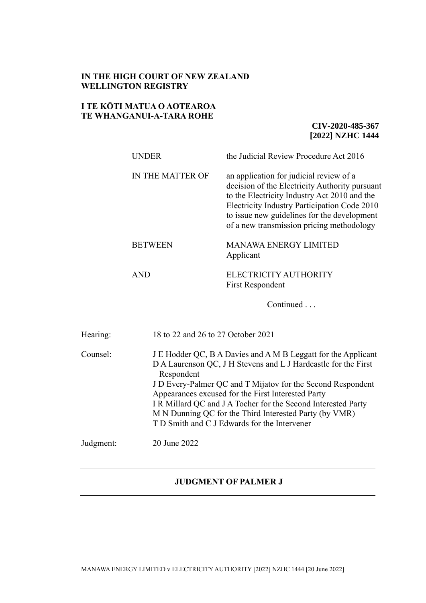## **IN THE HIGH COURT OF NEW ZEALAND WELLINGTON REGISTRY**

## **I TE KŌTI MATUA O AOTEAROA TE WHANGANUI-A-TARA ROHE**

Judgment: 20 June 2022

**CIV-2020-485-367 [2022] NZHC 1444**

|          | <b>UNDER</b>                       | the Judicial Review Procedure Act 2016                                                                                                                                                                                                                                                                                |
|----------|------------------------------------|-----------------------------------------------------------------------------------------------------------------------------------------------------------------------------------------------------------------------------------------------------------------------------------------------------------------------|
|          | IN THE MATTER OF                   | an application for judicial review of a<br>decision of the Electricity Authority pursuant<br>to the Electricity Industry Act 2010 and the<br>Electricity Industry Participation Code 2010<br>to issue new guidelines for the development<br>of a new transmission pricing methodology                                 |
|          | <b>BETWEEN</b>                     | <b>MANAWA ENERGY LIMITED</b><br>Applicant                                                                                                                                                                                                                                                                             |
|          | <b>AND</b>                         | ELECTRICITY AUTHORITY<br>First Respondent                                                                                                                                                                                                                                                                             |
|          |                                    | Continued                                                                                                                                                                                                                                                                                                             |
| Hearing: | 18 to 22 and 26 to 27 October 2021 |                                                                                                                                                                                                                                                                                                                       |
| Counsel: | Respondent                         | J E Hodder QC, B A Davies and A M B Leggatt for the Applicant<br>D A Laurenson QC, J H Stevens and L J Hardcastle for the First<br>J D Every-Palmer QC and T Mijatov for the Second Respondent<br>Appearances excused for the First Interested Party<br>I R Millard QC and J A Tocher for the Second Interested Party |

M N Dunning QC for the Third Interested Party (by VMR)

T D Smith and C J Edwards for the Intervener

**JUDGMENT OF PALMER J**

MANAWA ENERGY LIMITED v ELECTRICITY AUTHORITY [2022] NZHC 1444 [20 June 2022]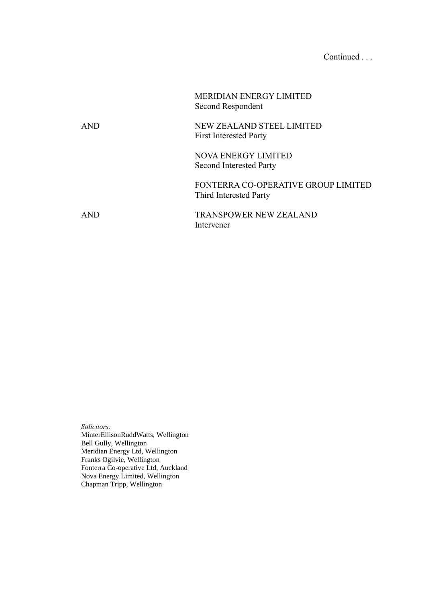# Continued . . .

|            | <b>MERIDIAN ENERGY LIMITED</b><br>Second Respondent           |
|------------|---------------------------------------------------------------|
| <b>AND</b> | NEW ZEALAND STEEL LIMITED<br><b>First Interested Party</b>    |
|            | <b>NOVA ENERGY LIMITED</b><br><b>Second Interested Party</b>  |
|            | FONTERRA CO-OPERATIVE GROUP LIMITED<br>Third Interested Party |
| <b>AND</b> | <b>TRANSPOWER NEW ZEALAND</b><br>Intervener                   |

*Solicitors:*  MinterEllisonRuddWatts, Wellington Bell Gully, Wellington Meridian Energy Ltd, Wellington Franks Ogilvie, Wellington Fonterra Co-operative Ltd, Auckland Nova Energy Limited, Wellington Chapman Tripp, Wellington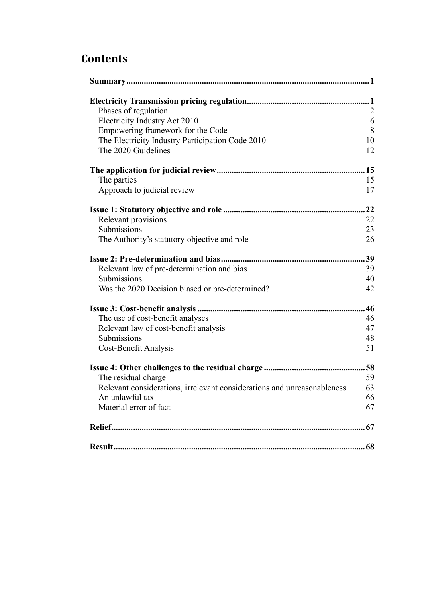# **Contents**

| Phases of regulation                                                    | $\overline{2}$ |
|-------------------------------------------------------------------------|----------------|
| Electricity Industry Act 2010                                           | 6              |
| Empowering framework for the Code                                       | $8\,$          |
| The Electricity Industry Participation Code 2010                        | 10             |
| The 2020 Guidelines                                                     | 12             |
|                                                                         | .15            |
| The parties                                                             | 15             |
| Approach to judicial review                                             | 17             |
|                                                                         | 22             |
| Relevant provisions                                                     | 22             |
| Submissions                                                             | 23             |
| The Authority's statutory objective and role                            | 26             |
|                                                                         | 39             |
| Relevant law of pre-determination and bias                              | 39             |
| Submissions                                                             | 40             |
| Was the 2020 Decision biased or pre-determined?                         | 42             |
|                                                                         | 46             |
| The use of cost-benefit analyses                                        | 46             |
| Relevant law of cost-benefit analysis                                   | 47             |
| Submissions                                                             | 48             |
| Cost-Benefit Analysis                                                   | 51             |
|                                                                         | .58            |
| The residual charge                                                     | 59             |
| Relevant considerations, irrelevant considerations and unreasonableness | 63             |
| An unlawful tax                                                         | 66             |
| Material error of fact                                                  | 67             |
|                                                                         |                |
|                                                                         |                |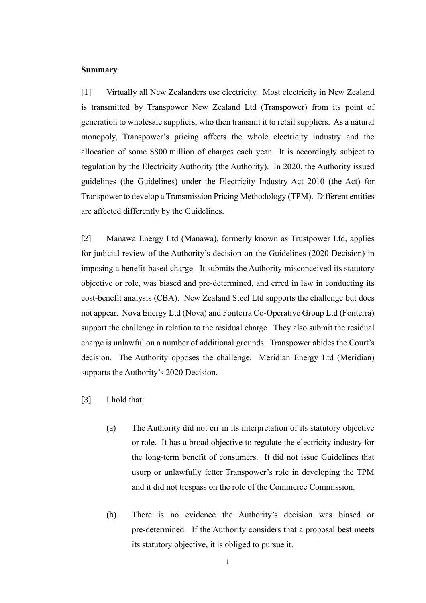#### <span id="page-3-0"></span>**Summary**

[1] Virtually all New Zealanders use electricity. Most electricity in New Zealand is transmitted by Transpower New Zealand Ltd (Transpower) from its point of generation to wholesale suppliers, who then transmit it to retail suppliers. As a natural monopoly, Transpower's pricing affects the whole electricity industry and the allocation of some \$800 million of charges each year. It is accordingly subject to regulation by the Electricity Authority (the Authority). In 2020, the Authority issued guidelines (the Guidelines) under the Electricity Industry Act 2010 (the Act) for Transpower to develop a Transmission Pricing Methodology (TPM). Different entities are affected differently by the Guidelines.

[2] Manawa Energy Ltd (Manawa), formerly known as Trustpower Ltd, applies for judicial review of the Authority's decision on the Guidelines (2020 Decision) in imposing a benefit-based charge. It submits the Authority misconceived its statutory objective or role, was biased and pre-determined, and erred in law in conducting its cost-benefit analysis (CBA). New Zealand Steel Ltd supports the challenge but does not appear. Nova Energy Ltd (Nova) and Fonterra Co-Operative Group Ltd (Fonterra) support the challenge in relation to the residual charge. They also submit the residual charge is unlawful on a number of additional grounds. Transpower abides the Court's decision. The Authority opposes the challenge. Meridian Energy Ltd (Meridian) supports the Authority's 2020 Decision.

- <span id="page-3-1"></span>[3] I hold that:
	- (a) The Authority did not err in its interpretation of its statutory objective or role. It has a broad objective to regulate the electricity industry for the long-term benefit of consumers. It did not issue Guidelines that usurp or unlawfully fetter Transpower's role in developing the TPM and it did not trespass on the role of the Commerce Commission.
	- (b) There is no evidence the Authority's decision was biased or pre-determined. If the Authority considers that a proposal best meets its statutory objective, it is obliged to pursue it.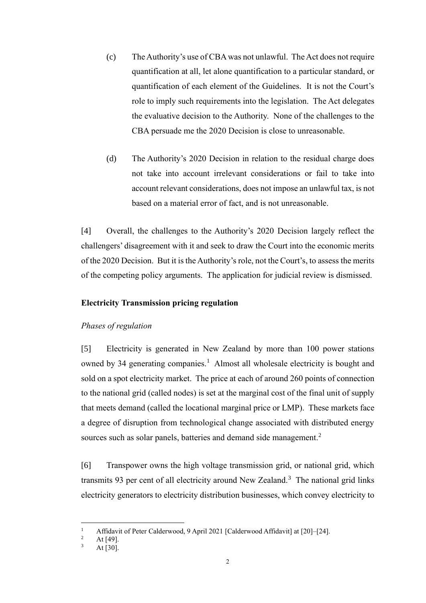- (c) The Authority's use of CBA was not unlawful. The Act does not require quantification at all, let alone quantification to a particular standard, or quantification of each element of the Guidelines. It is not the Court's role to imply such requirements into the legislation. The Act delegates the evaluative decision to the Authority. None of the challenges to the CBA persuade me the 2020 Decision is close to unreasonable.
- (d) The Authority's 2020 Decision in relation to the residual charge does not take into account irrelevant considerations or fail to take into account relevant considerations, does not impose an unlawful tax, is not based on a material error of fact, and is not unreasonable.

[4] Overall, the challenges to the Authority's 2020 Decision largely reflect the challengers' disagreement with it and seek to draw the Court into the economic merits of the 2020 Decision. But it is the Authority's role, not the Court's, to assess the merits of the competing policy arguments. The application for judicial review is dismissed.

## **Electricity Transmission pricing regulation**

## <span id="page-4-0"></span>*Phases of regulation*

[5] Electricity is generated in New Zealand by more than 100 power stations owned by 34 generating companies.<sup>1</sup> Almost all wholesale electricity is bought and sold on a spot electricity market. The price at each of around 260 points of connection to the national grid (called nodes) is set at the marginal cost of the final unit of supply that meets demand (called the locational marginal price or LMP). These markets face a degree of disruption from technological change associated with distributed energy sources such as solar panels, batteries and demand side management.<sup>2</sup>

[6] Transpower owns the high voltage transmission grid, or national grid, which transmits 93 per cent of all electricity around New Zealand.<sup>3</sup> The national grid links electricity generators to electricity distribution businesses, which convey electricity to

<sup>&</sup>lt;sup>1</sup> Affidavit of Peter Calderwood, 9 April 2021 [Calderwood Affidavit] at [20]–[24].

 $\frac{2}{3}$  At [49].

At  $\overline{[30]}$ .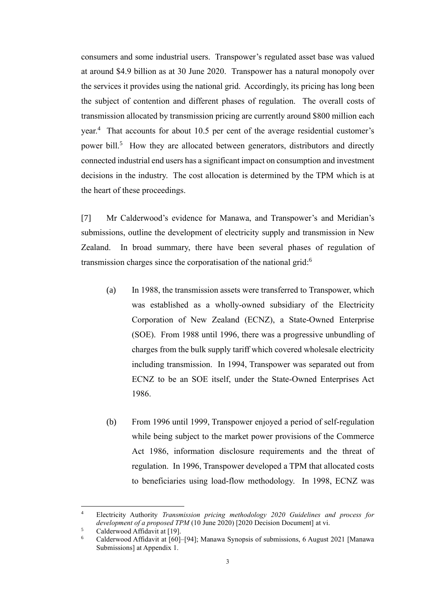consumers and some industrial users. Transpower's regulated asset base was valued at around \$4.9 billion as at 30 June 2020. Transpower has a natural monopoly over the services it provides using the national grid. Accordingly, its pricing has long been the subject of contention and different phases of regulation. The overall costs of transmission allocated by transmission pricing are currently around \$800 million each year.<sup>4</sup> That accounts for about 10.5 per cent of the average residential customer's power bill.<sup>5</sup> How they are allocated between generators, distributors and directly connected industrial end users has a significant impact on consumption and investment decisions in the industry. The cost allocation is determined by the TPM which is at the heart of these proceedings.

[7] Mr Calderwood's evidence for Manawa, and Transpower's and Meridian's submissions, outline the development of electricity supply and transmission in New Zealand. In broad summary, there have been several phases of regulation of transmission charges since the corporatisation of the national grid:<sup>6</sup>

- (a) In 1988, the transmission assets were transferred to Transpower, which was established as a wholly-owned subsidiary of the Electricity Corporation of New Zealand (ECNZ), a State-Owned Enterprise (SOE). From 1988 until 1996, there was a progressive unbundling of charges from the bulk supply tariff which covered wholesale electricity including transmission. In 1994, Transpower was separated out from ECNZ to be an SOE itself, under the State-Owned Enterprises Act 1986.
- (b) From 1996 until 1999, Transpower enjoyed a period of self-regulation while being subject to the market power provisions of the Commerce Act 1986, information disclosure requirements and the threat of regulation. In 1996, Transpower developed a TPM that allocated costs to beneficiaries using load-flow methodology. In 1998, ECNZ was

<sup>4</sup> Electricity Authority *Transmission pricing methodology 2020 Guidelines and process for development of a proposed TPM* (10 June 2020) [2020 Decision Document] at vi.

 $5$  Calderwood Affidavit at [19].

<sup>6</sup> Calderwood Affidavit at [60]–[94]; Manawa Synopsis of submissions, 6 August 2021 [Manawa Submissions] at Appendix 1.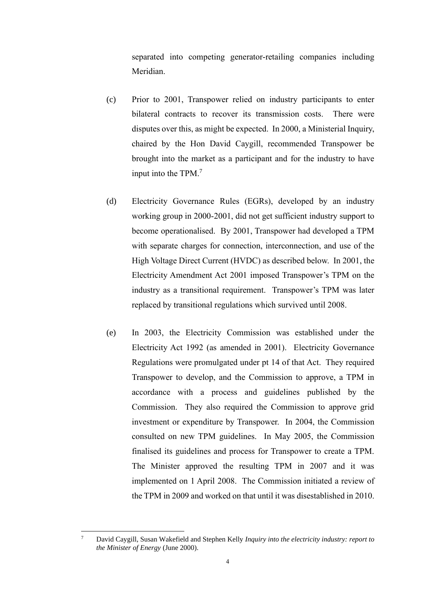separated into competing generator-retailing companies including Meridian.

- (c) Prior to 2001, Transpower relied on industry participants to enter bilateral contracts to recover its transmission costs. There were disputes over this, as might be expected. In 2000, a Ministerial Inquiry, chaired by the Hon David Caygill, recommended Transpower be brought into the market as a participant and for the industry to have input into the TPM. 7
- (d) Electricity Governance Rules (EGRs), developed by an industry working group in 2000-2001, did not get sufficient industry support to become operationalised. By 2001, Transpower had developed a TPM with separate charges for connection, interconnection, and use of the High Voltage Direct Current (HVDC) as described below. In 2001, the Electricity Amendment Act 2001 imposed Transpower's TPM on the industry as a transitional requirement. Transpower's TPM was later replaced by transitional regulations which survived until 2008.
- (e) In 2003, the Electricity Commission was established under the Electricity Act 1992 (as amended in 2001). Electricity Governance Regulations were promulgated under pt 14 of that Act. They required Transpower to develop, and the Commission to approve, a TPM in accordance with a process and guidelines published by the Commission. They also required the Commission to approve grid investment or expenditure by Transpower. In 2004, the Commission consulted on new TPM guidelines. In May 2005, the Commission finalised its guidelines and process for Transpower to create a TPM. The Minister approved the resulting TPM in 2007 and it was implemented on 1 April 2008. The Commission initiated a review of the TPM in 2009 and worked on that until it was disestablished in 2010.

<sup>7</sup> David Caygill, Susan Wakefield and Stephen Kelly *Inquiry into the electricity industry: report to the Minister of Energy* (June 2000).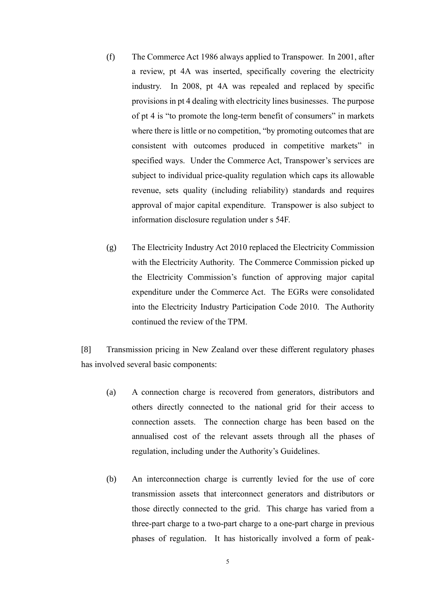- (f) The Commerce Act 1986 always applied to Transpower. In 2001, after a review, pt 4A was inserted, specifically covering the electricity industry. In 2008, pt 4A was repealed and replaced by specific provisions in pt 4 dealing with electricity lines businesses. The purpose of pt 4 is "to promote the long-term benefit of consumers" in markets where there is little or no competition, "by promoting outcomes that are consistent with outcomes produced in competitive markets" in specified ways. Under the Commerce Act, Transpower's services are subject to individual price-quality regulation which caps its allowable revenue, sets quality (including reliability) standards and requires approval of major capital expenditure. Transpower is also subject to information disclosure regulation under s 54F.
- (g) The Electricity Industry Act 2010 replaced the Electricity Commission with the Electricity Authority. The Commerce Commission picked up the Electricity Commission's function of approving major capital expenditure under the Commerce Act. The EGRs were consolidated into the Electricity Industry Participation Code 2010. The Authority continued the review of the TPM.

[8] Transmission pricing in New Zealand over these different regulatory phases has involved several basic components:

- (a) A connection charge is recovered from generators, distributors and others directly connected to the national grid for their access to connection assets. The connection charge has been based on the annualised cost of the relevant assets through all the phases of regulation, including under the Authority's Guidelines.
- (b) An interconnection charge is currently levied for the use of core transmission assets that interconnect generators and distributors or those directly connected to the grid. This charge has varied from a three-part charge to a two-part charge to a one-part charge in previous phases of regulation. It has historically involved a form of peak-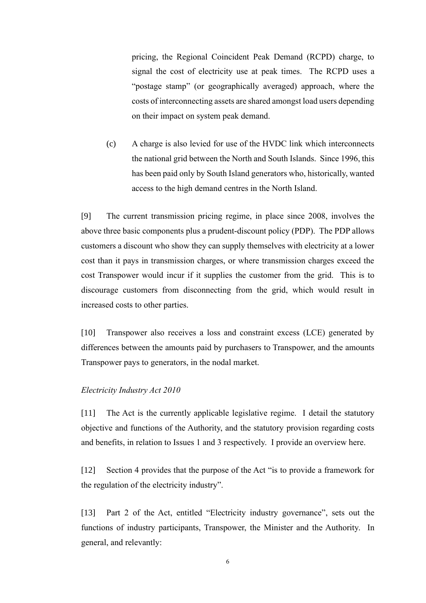pricing, the Regional Coincident Peak Demand (RCPD) charge, to signal the cost of electricity use at peak times. The RCPD uses a "postage stamp" (or geographically averaged) approach, where the costs of interconnecting assets are shared amongst load users depending on their impact on system peak demand.

(c) A charge is also levied for use of the HVDC link which interconnects the national grid between the North and South Islands. Since 1996, this has been paid only by South Island generators who, historically, wanted access to the high demand centres in the North Island.

[9] The current transmission pricing regime, in place since 2008, involves the above three basic components plus a prudent-discount policy (PDP). The PDP allows customers a discount who show they can supply themselves with electricity at a lower cost than it pays in transmission charges, or where transmission charges exceed the cost Transpower would incur if it supplies the customer from the grid. This is to discourage customers from disconnecting from the grid, which would result in increased costs to other parties.

[10] Transpower also receives a loss and constraint excess (LCE) generated by differences between the amounts paid by purchasers to Transpower, and the amounts Transpower pays to generators, in the nodal market.

#### <span id="page-8-0"></span>*Electricity Industry Act 2010*

[11] The Act is the currently applicable legislative regime. I detail the statutory objective and functions of the Authority, and the statutory provision regarding costs and benefits, in relation to Issues 1 and 3 respectively. I provide an overview here.

[12] Section 4 provides that the purpose of the Act "is to provide a framework for the regulation of the electricity industry".

[13] Part 2 of the Act, entitled "Electricity industry governance", sets out the functions of industry participants, Transpower, the Minister and the Authority. In general, and relevantly: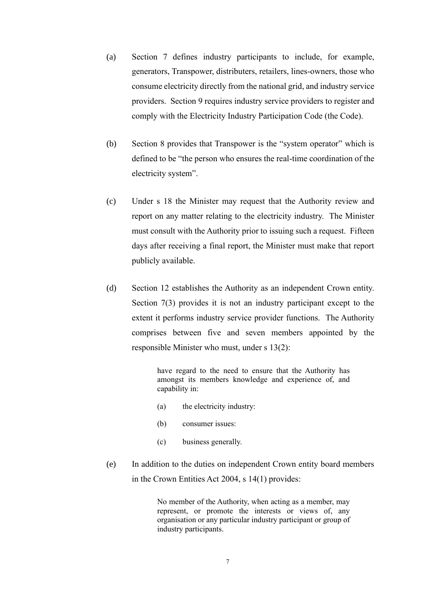- (a) Section 7 defines industry participants to include, for example, generators, Transpower, distributers, retailers, lines-owners, those who consume electricity directly from the national grid, and industry service providers. Section 9 requires industry service providers to register and comply with the Electricity Industry Participation Code (the Code).
- (b) Section 8 provides that Transpower is the "system operator" which is defined to be "the person who ensures the real-time coordination of the electricity system".
- (c) Under s 18 the Minister may request that the Authority review and report on any matter relating to the electricity industry. The Minister must consult with the Authority prior to issuing such a request. Fifteen days after receiving a final report, the Minister must make that report publicly available.
- (d) Section 12 establishes the Authority as an independent Crown entity. Section 7(3) provides it is not an industry participant except to the extent it performs industry service provider functions. The Authority comprises between five and seven members appointed by the responsible Minister who must, under s 13(2):

have regard to the need to ensure that the Authority has amongst its members knowledge and experience of, and capability in:

- (a) the electricity industry:
- (b) consumer issues:
- (c) business generally.
- (e) In addition to the duties on independent Crown entity board members in the Crown Entities Act 2004, s 14(1) provides:

No member of the Authority, when acting as a member, may represent, or promote the interests or views of, any organisation or any particular industry participant or group of industry participants.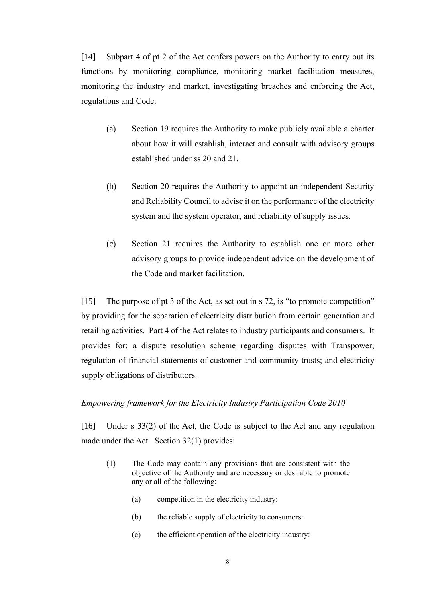[14] Subpart 4 of pt 2 of the Act confers powers on the Authority to carry out its functions by monitoring compliance, monitoring market facilitation measures, monitoring the industry and market, investigating breaches and enforcing the Act, regulations and Code:

- (a) Section 19 requires the Authority to make publicly available a charter about how it will establish, interact and consult with advisory groups established under ss 20 and 21.
- (b) Section 20 requires the Authority to appoint an independent Security and Reliability Council to advise it on the performance of the electricity system and the system operator, and reliability of supply issues.
- (c) Section 21 requires the Authority to establish one or more other advisory groups to provide independent advice on the development of the Code and market facilitation.

[15] The purpose of pt 3 of the Act, as set out in s 72, is "to promote competition" by providing for the separation of electricity distribution from certain generation and retailing activities. Part 4 of the Act relates to industry participants and consumers. It provides for: a dispute resolution scheme regarding disputes with Transpower; regulation of financial statements of customer and community trusts; and electricity supply obligations of distributors.

## <span id="page-10-0"></span>*Empowering framework for the Electricity Industry Participation Code 2010*

[16] Under s 33(2) of the Act, the Code is subject to the Act and any regulation made under the Act. Section 32(1) provides:

- (1) The Code may contain any provisions that are consistent with the objective of the Authority and are necessary or desirable to promote any or all of the following:
	- (a) competition in the electricity industry:
	- (b) the reliable supply of electricity to consumers:
	- (c) the efficient operation of the electricity industry: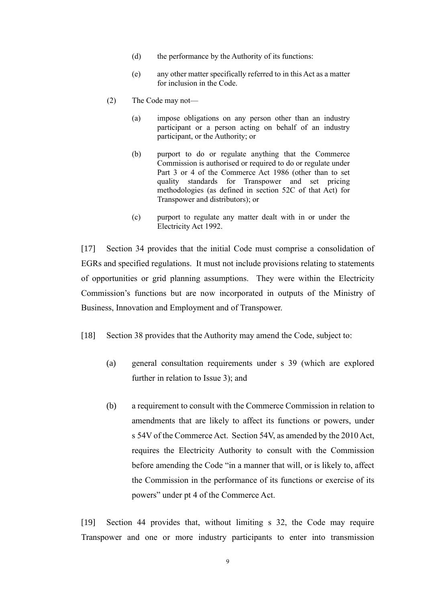- (d) the performance by the Authority of its functions:
- (e) any other matter specifically referred to in this Act as a matter for inclusion in the Code.
- (2) The Code may not—
	- (a) impose obligations on any person other than an industry participant or a person acting on behalf of an industry participant, or the Authority; or
	- (b) purport to do or regulate anything that the Commerce Commission is authorised or required to do or regulate under [Part 3](https://www.legislation.govt.nz/act/public/2010/0116/latest/link.aspx?search=ts_act%40bill%40regulation%40deemedreg_Electricity_resel_25_a&p=1&id=DLM88419#DLM88419) or [4](https://www.legislation.govt.nz/act/public/2010/0116/latest/link.aspx?search=ts_act%40bill%40regulation%40deemedreg_Electricity_resel_25_a&p=1&id=DLM88433#DLM88433) of the Commerce Act 1986 (other than to set quality standards for Transpower and set pricing methodologies (as defined in [section 52C](https://www.legislation.govt.nz/act/public/2010/0116/latest/link.aspx?search=ts_act%40bill%40regulation%40deemedreg_Electricity_resel_25_a&p=1&id=DLM1685406#DLM1685406) of that Act) for Transpower and distributors); or
	- (c) purport to regulate any matter dealt with in or under the [Electricity Act 1992.](https://www.legislation.govt.nz/act/public/2010/0116/latest/link.aspx?search=ts_act%40bill%40regulation%40deemedreg_Electricity_resel_25_a&p=1&id=DLM281857)

[17] Section 34 provides that the initial Code must comprise a consolidation of EGRs and specified regulations. It must not include provisions relating to statements of opportunities or grid planning assumptions. They were within the Electricity Commission's functions but are now incorporated in outputs of the Ministry of Business, Innovation and Employment and of Transpower.

- [18] Section 38 provides that the Authority may amend the Code, subject to:
	- (a) general consultation requirements under s 39 (which are explored further in relation to Issue 3); and
	- (b) a requirement to consult with the Commerce Commission in relation to amendments that are likely to affect its functions or powers, under s 54V of the Commerce Act. Section 54V, as amended by the 2010 Act, requires the Electricity Authority to consult with the Commission before amending the Code "in a manner that will, or is likely to, affect the Commission in the performance of its functions or exercise of its powers" under pt 4 of the Commerce Act.

[19] Section 44 provides that, without limiting s 32, the Code may require Transpower and one or more industry participants to enter into transmission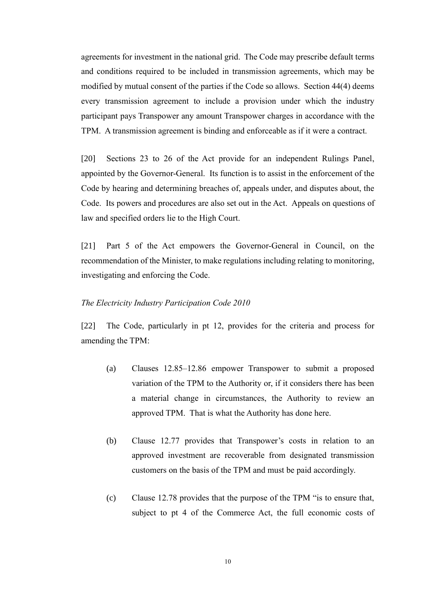agreements for investment in the national grid. The Code may prescribe default terms and conditions required to be included in transmission agreements, which may be modified by mutual consent of the parties if the Code so allows. Section 44(4) deems every transmission agreement to include a provision under which the industry participant pays Transpower any amount Transpower charges in accordance with the TPM. A transmission agreement is binding and enforceable as if it were a contract.

[20] Sections 23 to 26 of the Act provide for an independent Rulings Panel, appointed by the Governor-General. Its function is to assist in the enforcement of the Code by hearing and determining breaches of, appeals under, and disputes about, the Code. Its powers and procedures are also set out in the Act. Appeals on questions of law and specified orders lie to the High Court.

[21] Part 5 of the Act empowers the Governor-General in Council, on the recommendation of the Minister, to make regulations including relating to monitoring, investigating and enforcing the Code.

## <span id="page-12-0"></span>*The Electricity Industry Participation Code 2010*

[22] The Code, particularly in pt 12, provides for the criteria and process for amending the TPM:

- (a) Clauses 12.85–12.86 empower Transpower to submit a proposed variation of the TPM to the Authority or, if it considers there has been a material change in circumstances, the Authority to review an approved TPM. That is what the Authority has done here.
- (b) Clause 12.77 provides that Transpower's costs in relation to an approved investment are recoverable from designated transmission customers on the basis of the TPM and must be paid accordingly.
- (c) Clause 12.78 provides that the purpose of the TPM "is to ensure that, subject to pt 4 of the Commerce Act, the full economic costs of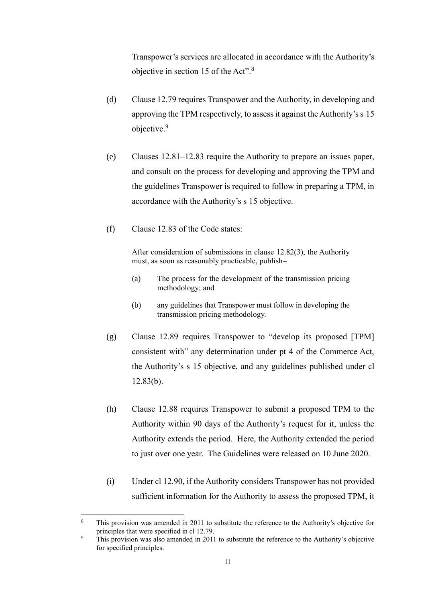Transpower's services are allocated in accordance with the Authority's objective in section 15 of the Act".<sup>8</sup>

- (d) Clause 12.79 requires Transpower and the Authority, in developing and approving the TPM respectively, to assess it against the Authority's s 15 objective.<sup>9</sup>
- (e) Clauses 12.81–12.83 require the Authority to prepare an issues paper, and consult on the process for developing and approving the TPM and the guidelines Transpower is required to follow in preparing a TPM, in accordance with the Authority's s 15 objective.
- (f) Clause 12.83 of the Code states:

After consideration of submissions in clause 12.82(3), the Authority must, as soon as reasonably practicable, publish–

- (a) The process for the development of the transmission pricing methodology; and
- (b) any guidelines that Transpower must follow in developing the transmission pricing methodology.
- (g) Clause 12.89 requires Transpower to "develop its proposed [TPM] consistent with" any determination under pt 4 of the Commerce Act, the Authority's s 15 objective, and any guidelines published under cl 12.83(b).
- (h) Clause 12.88 requires Transpower to submit a proposed TPM to the Authority within 90 days of the Authority's request for it, unless the Authority extends the period. Here, the Authority extended the period to just over one year. The Guidelines were released on 10 June 2020.
- (i) Under cl 12.90, if the Authority considers Transpower has not provided sufficient information for the Authority to assess the proposed TPM, it

<sup>&</sup>lt;sup>8</sup> This provision was amended in 2011 to substitute the reference to the Authority's objective for principles that were specified in cl 12.79.

<sup>&</sup>lt;sup>9</sup> This provision was also amended in 2011 to substitute the reference to the Authority's objective for specified principles.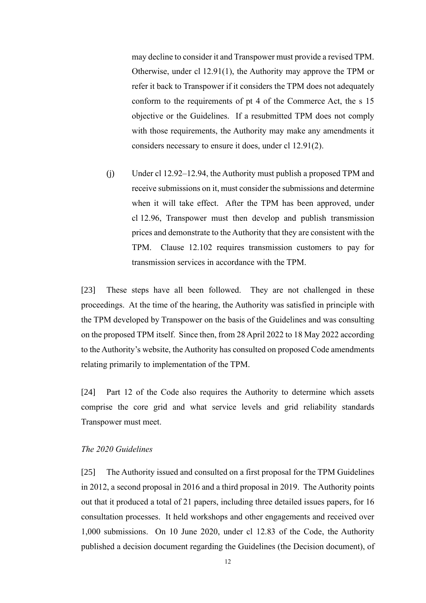may decline to consider it and Transpower must provide a revised TPM. Otherwise, under cl 12.91(1), the Authority may approve the TPM or refer it back to Transpower if it considers the TPM does not adequately conform to the requirements of pt 4 of the Commerce Act, the s 15 objective or the Guidelines. If a resubmitted TPM does not comply with those requirements, the Authority may make any amendments it considers necessary to ensure it does, under cl 12.91(2).

(j) Under cl 12.92–12.94, the Authority must publish a proposed TPM and receive submissions on it, must consider the submissions and determine when it will take effect. After the TPM has been approved, under cl 12.96, Transpower must then develop and publish transmission prices and demonstrate to the Authority that they are consistent with the TPM. Clause 12.102 requires transmission customers to pay for transmission services in accordance with the TPM.

[23] These steps have all been followed. They are not challenged in these proceedings. At the time of the hearing, the Authority was satisfied in principle with the TPM developed by Transpower on the basis of the Guidelines and was consulting on the proposed TPM itself. Since then, from 28 April 2022 to 18 May 2022 according to the Authority's website, the Authority has consulted on proposed Code amendments relating primarily to implementation of the TPM.

[24] Part 12 of the Code also requires the Authority to determine which assets comprise the core grid and what service levels and grid reliability standards Transpower must meet.

## <span id="page-14-0"></span>*The 2020 Guidelines*

[25] The Authority issued and consulted on a first proposal for the TPM Guidelines in 2012, a second proposal in 2016 and a third proposal in 2019. The Authority points out that it produced a total of 21 papers, including three detailed issues papers, for 16 consultation processes. It held workshops and other engagements and received over 1,000 submissions. On 10 June 2020, under cl 12.83 of the Code, the Authority published a decision document regarding the Guidelines (the Decision document), of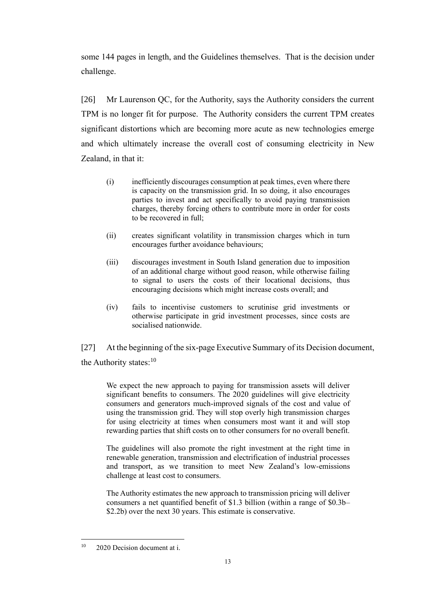some 144 pages in length, and the Guidelines themselves. That is the decision under challenge.

[26] Mr Laurenson QC, for the Authority, says the Authority considers the current TPM is no longer fit for purpose. The Authority considers the current TPM creates significant distortions which are becoming more acute as new technologies emerge and which ultimately increase the overall cost of consuming electricity in New Zealand, in that it:

- (i) inefficiently discourages consumption at peak times, even where there is capacity on the transmission grid. In so doing, it also encourages parties to invest and act specifically to avoid paying transmission charges, thereby forcing others to contribute more in order for costs to be recovered in full;
- (ii) creates significant volatility in transmission charges which in turn encourages further avoidance behaviours;
- (iii) discourages investment in South Island generation due to imposition of an additional charge without good reason, while otherwise failing to signal to users the costs of their locational decisions, thus encouraging decisions which might increase costs overall; and
- (iv) fails to incentivise customers to scrutinise grid investments or otherwise participate in grid investment processes, since costs are socialised nationwide.

[27] At the beginning of the six-page Executive Summary of its Decision document, the Authority states: $10$ 

We expect the new approach to paying for transmission assets will deliver significant benefits to consumers. The 2020 guidelines will give electricity consumers and generators much-improved signals of the cost and value of using the transmission grid. They will stop overly high transmission charges for using electricity at times when consumers most want it and will stop rewarding parties that shift costs on to other consumers for no overall benefit.

The guidelines will also promote the right investment at the right time in renewable generation, transmission and electrification of industrial processes and transport, as we transition to meet New Zealand's low-emissions challenge at least cost to consumers.

The Authority estimates the new approach to transmission pricing will deliver consumers a net quantified benefit of \$1.3 billion (within a range of \$0.3b– \$2.2b) over the next 30 years. This estimate is conservative.

 $10 \quad 2020$  Decision document at i.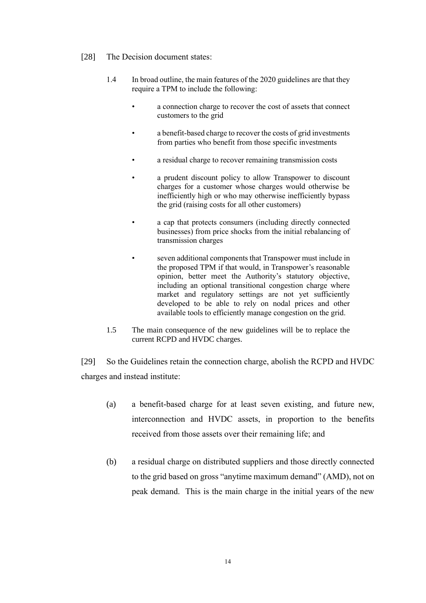- [28] The Decision document states:
	- 1.4 In broad outline, the main features of the 2020 guidelines are that they require a TPM to include the following:
		- a connection charge to recover the cost of assets that connect customers to the grid
		- a benefit-based charge to recover the costs of grid investments from parties who benefit from those specific investments
		- a residual charge to recover remaining transmission costs
		- a prudent discount policy to allow Transpower to discount charges for a customer whose charges would otherwise be inefficiently high or who may otherwise inefficiently bypass the grid (raising costs for all other customers)
		- a cap that protects consumers (including directly connected businesses) from price shocks from the initial rebalancing of transmission charges
			- seven additional components that Transpower must include in the proposed TPM if that would, in Transpower's reasonable opinion, better meet the Authority's statutory objective, including an optional transitional congestion charge where market and regulatory settings are not yet sufficiently developed to be able to rely on nodal prices and other available tools to efficiently manage congestion on the grid.
	- 1.5 The main consequence of the new guidelines will be to replace the current RCPD and HVDC charges.

[29] So the Guidelines retain the connection charge, abolish the RCPD and HVDC charges and instead institute:

- (a) a benefit-based charge for at least seven existing, and future new, interconnection and HVDC assets, in proportion to the benefits received from those assets over their remaining life; and
- (b) a residual charge on distributed suppliers and those directly connected to the grid based on gross "anytime maximum demand" (AMD), not on peak demand. This is the main charge in the initial years of the new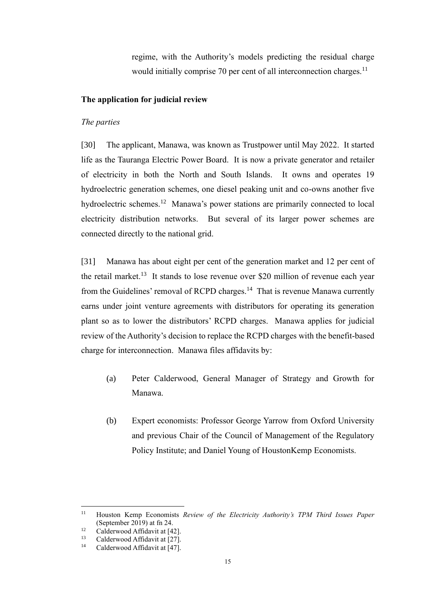regime, with the Authority's models predicting the residual charge would initially comprise 70 per cent of all interconnection charges.<sup>11</sup>

## <span id="page-17-0"></span>**The application for judicial review**

#### <span id="page-17-1"></span>*The parties*

[30] The applicant, Manawa, was known as Trustpower until May 2022. It started life as the Tauranga Electric Power Board. It is now a private generator and retailer of electricity in both the North and South Islands. It owns and operates 19 hydroelectric generation schemes, one diesel peaking unit and co-owns another five hydroelectric schemes.<sup>12</sup> Manawa's power stations are primarily connected to local electricity distribution networks. But several of its larger power schemes are connected directly to the national grid.

[31] Manawa has about eight per cent of the generation market and 12 per cent of the retail market.<sup>13</sup> It stands to lose revenue over \$20 million of revenue each year from the Guidelines' removal of RCPD charges.<sup>14</sup> That is revenue Manawa currently earns under joint venture agreements with distributors for operating its generation plant so as to lower the distributors' RCPD charges. Manawa applies for judicial review of the Authority's decision to replace the RCPD charges with the benefit-based charge for interconnection. Manawa files affidavits by:

- (a) Peter Calderwood, General Manager of Strategy and Growth for Manawa.
- (b) Expert economists: Professor George Yarrow from Oxford University and previous Chair of the Council of Management of the Regulatory Policy Institute; and Daniel Young of HoustonKemp Economists.

<sup>11</sup> Houston Kemp Economists *Review of the Electricity Authority's TPM Third Issues Paper*  (September 2019) at fn 24.

<sup>&</sup>lt;sup>12</sup> Calderwood Affidavit at [42].

<sup>&</sup>lt;sup>13</sup> Calderwood Affidavit at [27].<br><sup>14</sup> Calderwood Affidavit at [47]

Calderwood Affidavit at [47].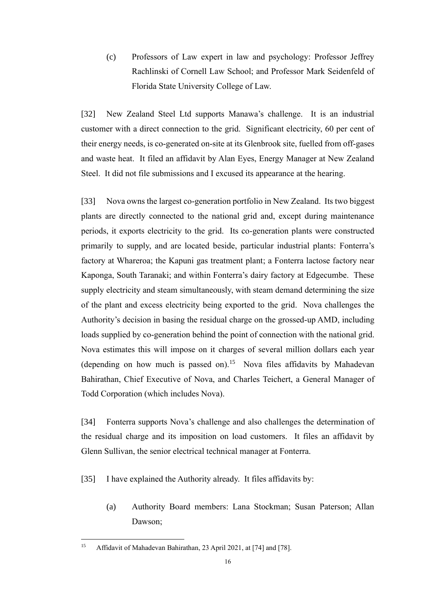(c) Professors of Law expert in law and psychology: Professor Jeffrey Rachlinski of Cornell Law School; and Professor Mark Seidenfeld of Florida State University College of Law.

[32] New Zealand Steel Ltd supports Manawa's challenge. It is an industrial customer with a direct connection to the grid. Significant electricity, 60 per cent of their energy needs, is co-generated on-site at its Glenbrook site, fuelled from off-gases and waste heat. It filed an affidavit by Alan Eyes, Energy Manager at New Zealand Steel. It did not file submissions and I excused its appearance at the hearing.

[33] Nova owns the largest co-generation portfolio in New Zealand. Its two biggest plants are directly connected to the national grid and, except during maintenance periods, it exports electricity to the grid. Its co-generation plants were constructed primarily to supply, and are located beside, particular industrial plants: Fonterra's factory at Whareroa; the Kapuni gas treatment plant; a Fonterra lactose factory near Kaponga, South Taranaki; and within Fonterra's dairy factory at Edgecumbe. These supply electricity and steam simultaneously, with steam demand determining the size of the plant and excess electricity being exported to the grid. Nova challenges the Authority's decision in basing the residual charge on the grossed-up AMD, including loads supplied by co-generation behind the point of connection with the national grid. Nova estimates this will impose on it charges of several million dollars each year (depending on how much is passed on).<sup>15</sup> Nova files affidavits by Mahadevan Bahirathan, Chief Executive of Nova, and Charles Teichert, a General Manager of Todd Corporation (which includes Nova).

[34] Fonterra supports Nova's challenge and also challenges the determination of the residual charge and its imposition on load customers. It files an affidavit by Glenn Sullivan, the senior electrical technical manager at Fonterra.

[35] I have explained the Authority already. It files affidavits by:

(a) Authority Board members: Lana Stockman; Susan Paterson; Allan Dawson;

<sup>&</sup>lt;sup>15</sup> Affidavit of Mahadevan Bahirathan, 23 April 2021, at [74] and [78].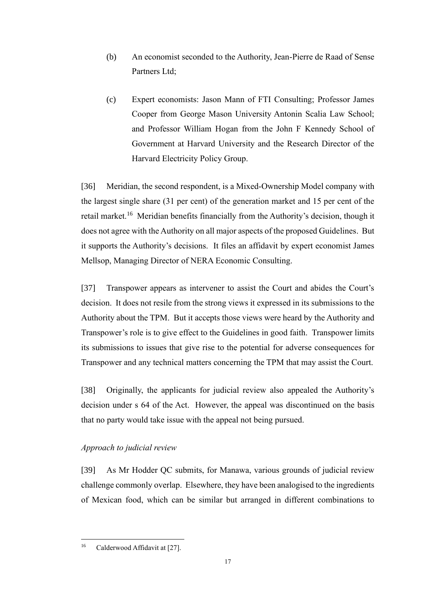- (b) An economist seconded to the Authority, Jean-Pierre de Raad of Sense Partners Ltd;
- (c) Expert economists: Jason Mann of FTI Consulting; Professor James Cooper from George Mason University Antonin Scalia Law School; and Professor William Hogan from the John F Kennedy School of Government at Harvard University and the Research Director of the Harvard Electricity Policy Group.

[36] Meridian, the second respondent, is a Mixed-Ownership Model company with the largest single share (31 per cent) of the generation market and 15 per cent of the retail market.<sup>16</sup> Meridian benefits financially from the Authority's decision, though it does not agree with the Authority on all major aspects of the proposed Guidelines. But it supports the Authority's decisions. It files an affidavit by expert economist James Mellsop, Managing Director of NERA Economic Consulting.

[37] Transpower appears as intervener to assist the Court and abides the Court's decision. It does not resile from the strong views it expressed in its submissions to the Authority about the TPM. But it accepts those views were heard by the Authority and Transpower's role is to give effect to the Guidelines in good faith. Transpower limits its submissions to issues that give rise to the potential for adverse consequences for Transpower and any technical matters concerning the TPM that may assist the Court.

[38] Originally, the applicants for judicial review also appealed the Authority's decision under s 64 of the Act. However, the appeal was discontinued on the basis that no party would take issue with the appeal not being pursued.

## <span id="page-19-0"></span>*Approach to judicial review*

[39] As Mr Hodder QC submits, for Manawa, various grounds of judicial review challenge commonly overlap. Elsewhere, they have been analogised to the ingredients of Mexican food, which can be similar but arranged in different combinations to

<sup>&</sup>lt;sup>16</sup> Calderwood Affidavit at [27].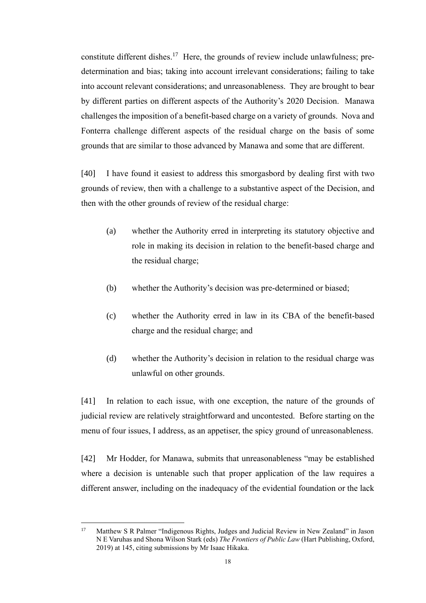constitute different dishes.<sup>17</sup> Here, the grounds of review include unlawfulness; predetermination and bias; taking into account irrelevant considerations; failing to take into account relevant considerations; and unreasonableness. They are brought to bear by different parties on different aspects of the Authority's 2020 Decision. Manawa challenges the imposition of a benefit-based charge on a variety of grounds. Nova and Fonterra challenge different aspects of the residual charge on the basis of some grounds that are similar to those advanced by Manawa and some that are different.

[40] I have found it easiest to address this smorgasbord by dealing first with two grounds of review, then with a challenge to a substantive aspect of the Decision, and then with the other grounds of review of the residual charge:

- (a) whether the Authority erred in interpreting its statutory objective and role in making its decision in relation to the benefit-based charge and the residual charge;
- (b) whether the Authority's decision was pre-determined or biased;
- (c) whether the Authority erred in law in its CBA of the benefit-based charge and the residual charge; and
- (d) whether the Authority's decision in relation to the residual charge was unlawful on other grounds.

[41] In relation to each issue, with one exception, the nature of the grounds of judicial review are relatively straightforward and uncontested. Before starting on the menu of four issues, I address, as an appetiser, the spicy ground of unreasonableness.

[42] Mr Hodder, for Manawa, submits that unreasonableness "may be established where a decision is untenable such that proper application of the law requires a different answer, including on the inadequacy of the evidential foundation or the lack

<sup>&</sup>lt;sup>17</sup> Matthew S R Palmer "Indigenous Rights, Judges and Judicial Review in New Zealand" in Jason N E Varuhas and Shona Wilson Stark (eds) *The Frontiers of Public Law* (Hart Publishing, Oxford, 2019) at 145, citing submissions by Mr Isaac Hikaka.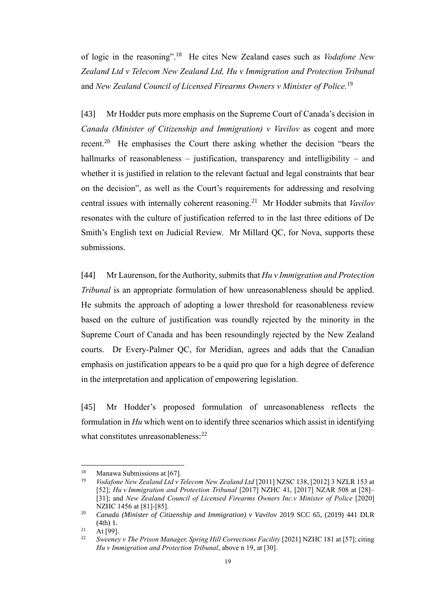of logic in the reasoning".<sup>18</sup> He cites New Zealand cases such as *Vodafone New Zealand Ltd v Telecom New Zealand Ltd, Hu v Immigration and Protection Tribunal* and *New Zealand Council of Licensed Firearms Owners v Minister of Police.* 19

<span id="page-21-0"></span>[43] Mr Hodder puts more emphasis on the Supreme Court of Canada's decision in *Canada (Minister of Citizenship and Immigration) v Vavilov* as cogent and more recent.<sup>20</sup> He emphasises the Court there asking whether the decision "bears the hallmarks of reasonableness – justification, transparency and intelligibility – and whether it is justified in relation to the relevant factual and legal constraints that bear on the decision", as well as the Court's requirements for addressing and resolving central issues with internally coherent reasoning.<sup>21</sup> Mr Hodder submits that *Vavilov* resonates with the culture of justification referred to in the last three editions of De Smith's English text on Judicial Review. Mr Millard QC, for Nova, supports these submissions.

[44] Mr Laurenson, for the Authority, submits that *Hu v Immigration and Protection Tribunal* is an appropriate formulation of how unreasonableness should be applied. He submits the approach of adopting a lower threshold for reasonableness review based on the culture of justification was roundly rejected by the minority in the Supreme Court of Canada and has been resoundingly rejected by the New Zealand courts. Dr Every-Palmer QC, for Meridian, agrees and adds that the Canadian emphasis on justification appears to be a quid pro quo for a high degree of deference in the interpretation and application of empowering legislation.

[45] Mr Hodder's proposed formulation of unreasonableness reflects the formulation in *Hu* which went on to identify three scenarios which assist in identifying what constitutes unreasonableness: $^{22}$ 

<sup>&</sup>lt;sup>18</sup> Manawa Submissions at [67].<br><sup>19</sup> *Vodatone New Zealand Ltd.v.* 

<sup>19</sup> *Vodafone New Zealand Ltd v Telecom New Zealand Ltd* [2011] NZSC 138, [2012] 3 NZLR 153 at [52]; *Hu v Immigration and Protection Tribunal* [2017] NZHC 41, [2017] NZAR 508 at [28]-[31]; and *New Zealand Council of Licensed Firearms Owners Inc.v Minister of Police* [2020] NZHC 1456 at [81]-[85].

<sup>20</sup> *Canada (Minister of Citizenship and Immigration) v Vavilov* 2019 SCC 65, (2019) 441 DLR (4th) 1.

 $21$  At [99].

<sup>22</sup> *Sweeney v The Prison Manager, Spring Hill Corrections Facility* [2021] NZHC 181 at [57]; citing *Hu v Immigration and Protection Tribunal*, above n 19, at [30].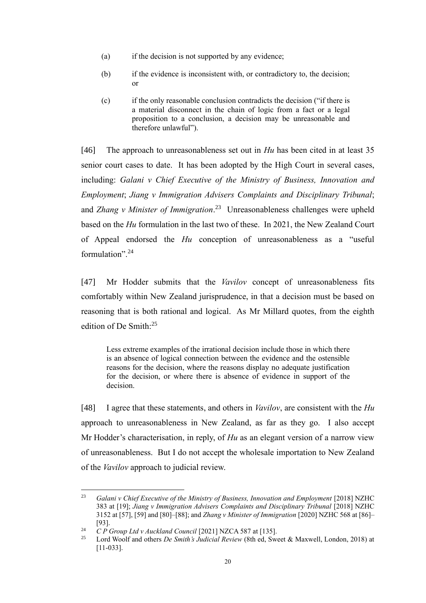- (a) if the decision is not supported by any evidence;
- (b) if the evidence is inconsistent with, or contradictory to, the decision; or
- (c) if the only reasonable conclusion contradicts the decision ("if there is a material disconnect in the chain of logic from a fact or a legal proposition to a conclusion, a decision may be unreasonable and therefore unlawful").

[46] The approach to unreasonableness set out in *Hu* has been cited in at least 35 senior court cases to date. It has been adopted by the High Court in several cases, including: *Galani v Chief Executive of the Ministry of Business, Innovation and Employment*; *Jiang v Immigration Advisers Complaints and Disciplinary Tribunal*; and *Zhang v Minister of Immigration*. <sup>23</sup> Unreasonableness challenges were upheld based on the *Hu* formulation in the last two of these. In 2021, the New Zealand Court of Appeal endorsed the *Hu* conception of unreasonableness as a "useful formulation".<sup>24</sup>

[47] Mr Hodder submits that the *Vavilov* concept of unreasonableness fits comfortably within New Zealand jurisprudence, in that a decision must be based on reasoning that is both rational and logical. As Mr Millard quotes, from the eighth edition of De Smith:<sup>25</sup>

Less extreme examples of the irrational decision include those in which there is an absence of logical connection between the evidence and the ostensible reasons for the decision, where the reasons display no adequate justification for the decision, or where there is absence of evidence in support of the decision.

[48] I agree that these statements, and others in *Vavilov*, are consistent with the *Hu*  approach to unreasonableness in New Zealand, as far as they go. I also accept Mr Hodder's characterisation, in reply, of *Hu* as an elegant version of a narrow view of unreasonableness. But I do not accept the wholesale importation to New Zealand of the *Vavilov* approach to judicial review.

<sup>&</sup>lt;sup>23</sup> *Galani v Chief Executive of the Ministry of Business, Innovation and Employment* [2018] NZHC 383 at [19]; *Jiang v Immigration Advisers Complaints and Disciplinary Tribunal* [2018] NZHC 3152 at [57], [59] and [80]–[88]; and *Zhang v Minister of Immigration* [2020] NZHC 568 at [86]– [93].

<sup>&</sup>lt;sup>24</sup> *C P Group Ltd v Auckland Council* [2021] NZCA 587 at [135].

<sup>25</sup> Lord Woolf and others *De Smith's Judicial Review* (8th ed, Sweet & Maxwell, London, 2018) at [11-033].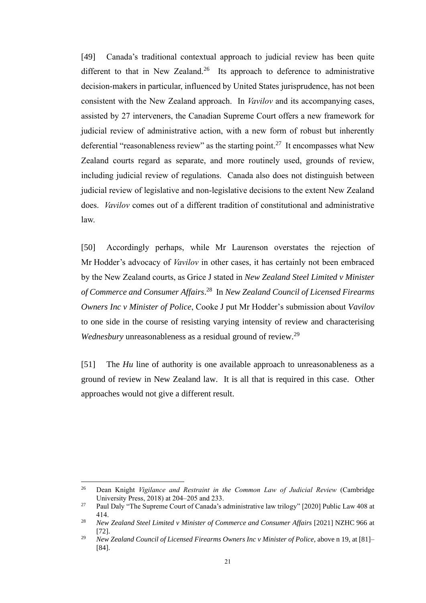[49] Canada's traditional contextual approach to judicial review has been quite different to that in New Zealand.<sup>26</sup> Its approach to deference to administrative decision-makers in particular, influenced by United States jurisprudence, has not been consistent with the New Zealand approach. In *Vavilov* and its accompanying cases, assisted by 27 interveners, the Canadian Supreme Court offers a new framework for judicial review of administrative action, with a new form of robust but inherently deferential "reasonableness review" as the starting point.<sup>27</sup> It encompasses what New Zealand courts regard as separate, and more routinely used, grounds of review, including judicial review of regulations. Canada also does not distinguish between judicial review of legislative and non-legislative decisions to the extent New Zealand does. *Vavilov* comes out of a different tradition of constitutional and administrative law.

[50] Accordingly perhaps, while Mr Laurenson overstates the rejection of Mr Hodder's advocacy of *Vavilov* in other cases, it has certainly not been embraced by the New Zealand courts, as Grice J stated in *New Zealand Steel Limited v Minister of Commerce and Consumer Affairs*. 28 In *New Zealand Council of Licensed Firearms Owners Inc v Minister of Police*, Cooke J put Mr Hodder's submission about *Vavilov*  to one side in the course of resisting varying intensity of review and characterising *Wednesbury* unreasonableness as a residual ground of review.<sup>29</sup>

[51] The *Hu* line of authority is one available approach to unreasonableness as a ground of review in New Zealand law. It is all that is required in this case. Other approaches would not give a different result.

<sup>26</sup> Dean Knight *Vigilance and Restraint in the Common Law of Judicial Review* (Cambridge University Press, 2018) at 204–205 and 233.

<sup>&</sup>lt;sup>27</sup> Paul Daly "The Supreme Court of Canada's administrative law trilogy" [2020] Public Law 408 at 414.

<sup>28</sup> *New Zealand Steel Limited v Minister of Commerce and Consumer Affairs* [2021] NZHC 966 at [72].

<sup>29</sup> *New Zealand Council of Licensed Firearms Owners Inc v Minister of Police,* above n [19,](#page-21-0) at [81]– [84].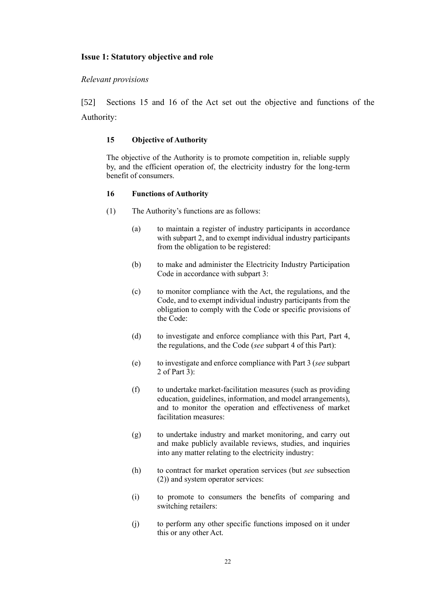## <span id="page-24-0"></span>**Issue 1: Statutory objective and role**

#### <span id="page-24-1"></span>*Relevant provisions*

[52] Sections 15 and 16 of the Act set out the objective and functions of the Authority:

#### **15 Objective of Authority**

The objective of the Authority is to promote competition in, reliable supply by, and the efficient operation of, the electricity industry for the long-term benefit of consumers.

#### **16 Functions of Authority**

- (1) The Authority's functions are as follows:
	- (a) to maintain a register of industry participants in accordance with [subpart 2,](https://www.legislation.govt.nz/act/public/2010/0116/latest/whole.html?search=ts_act%40bill%40regulation%40deemedreg_Electricity_resel_25_a&p=1#DLM2634354) and to exempt individual industry participants from the obligation to be registered:
	- (b) to make and administer the Electricity Industry Participation Code in accordance with [subpart 3:](https://www.legislation.govt.nz/act/public/2010/0116/latest/whole.html?search=ts_act%40bill%40regulation%40deemedreg_Electricity_resel_25_a&p=1#DLM2634362)
	- (c) to monitor compliance with the Act, the regulations, and the Code, and to exempt individual industry participants from the obligation to comply with the Code or specific provisions of the Code:
	- (d) to investigate and enforce compliance with this Part, [Part 4,](https://www.legislation.govt.nz/act/public/2010/0116/latest/whole.html?search=ts_act%40bill%40regulation%40deemedreg_Electricity_resel_25_a&p=1#DLM2634493) the regulations, and the Code (*see* [subpart 4](https://www.legislation.govt.nz/act/public/2010/0116/latest/whole.html?search=ts_act%40bill%40regulation%40deemedreg_Electricity_resel_25_a&p=1#DLM2634383) of this Part):
	- (e) to investigate and enforce compliance with [Part 3](https://www.legislation.govt.nz/act/public/2010/0116/latest/whole.html?search=ts_act%40bill%40regulation%40deemedreg_Electricity_resel_25_a&p=1#DLM2634413) (*see* [subpart](https://www.legislation.govt.nz/act/public/2010/0116/latest/whole.html?search=ts_act%40bill%40regulation%40deemedreg_Electricity_resel_25_a&p=1#DLM2634472)  [2](https://www.legislation.govt.nz/act/public/2010/0116/latest/whole.html?search=ts_act%40bill%40regulation%40deemedreg_Electricity_resel_25_a&p=1#DLM2634472) of Part 3):
	- (f) to undertake market-facilitation measures (such as providing education, guidelines, information, and model arrangements), and to monitor the operation and effectiveness of market facilitation measures:
	- (g) to undertake industry and market monitoring, and carry out and make publicly available reviews, studies, and inquiries into any matter relating to the electricity industry:
	- (h) to contract for market operation services (but *see* subsection (2)) and system operator services:
	- (i) to promote to consumers the benefits of comparing and switching retailers:
	- (j) to perform any other specific functions imposed on it under this or any other Act.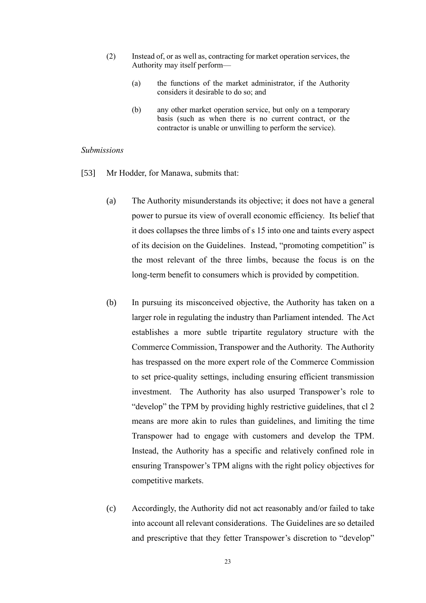- (2) Instead of, or as well as, contracting for market operation services, the Authority may itself perform—
	- (a) the functions of the market administrator, if the Authority considers it desirable to do so; and
	- (b) any other market operation service, but only on a temporary basis (such as when there is no current contract, or the contractor is unable or unwilling to perform the service).

#### <span id="page-25-0"></span>*Submissions*

- [53] Mr Hodder, for Manawa, submits that:
	- (a) The Authority misunderstands its objective; it does not have a general power to pursue its view of overall economic efficiency. Its belief that it does collapses the three limbs of s 15 into one and taints every aspect of its decision on the Guidelines. Instead, "promoting competition" is the most relevant of the three limbs, because the focus is on the long-term benefit to consumers which is provided by competition.
	- (b) In pursuing its misconceived objective, the Authority has taken on a larger role in regulating the industry than Parliament intended. The Act establishes a more subtle tripartite regulatory structure with the Commerce Commission, Transpower and the Authority. The Authority has trespassed on the more expert role of the Commerce Commission to set price-quality settings, including ensuring efficient transmission investment. The Authority has also usurped Transpower's role to "develop" the TPM by providing highly restrictive guidelines, that cl 2 means are more akin to rules than guidelines, and limiting the time Transpower had to engage with customers and develop the TPM. Instead, the Authority has a specific and relatively confined role in ensuring Transpower's TPM aligns with the right policy objectives for competitive markets.
	- (c) Accordingly, the Authority did not act reasonably and/or failed to take into account all relevant considerations. The Guidelines are so detailed and prescriptive that they fetter Transpower's discretion to "develop"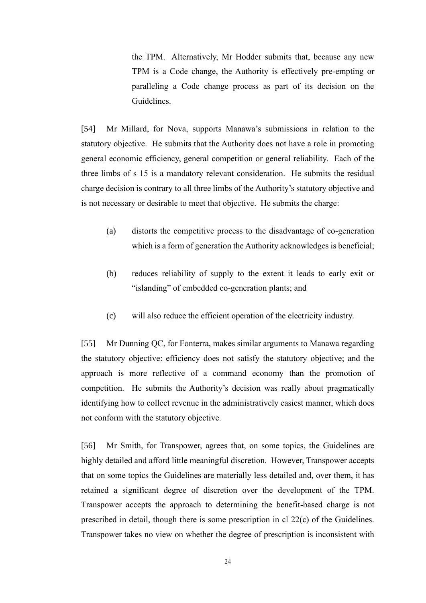the TPM. Alternatively, Mr Hodder submits that, because any new TPM is a Code change, the Authority is effectively pre-empting or paralleling a Code change process as part of its decision on the Guidelines.

[54] Mr Millard, for Nova, supports Manawa's submissions in relation to the statutory objective. He submits that the Authority does not have a role in promoting general economic efficiency, general competition or general reliability. Each of the three limbs of s 15 is a mandatory relevant consideration. He submits the residual charge decision is contrary to all three limbs of the Authority's statutory objective and is not necessary or desirable to meet that objective. He submits the charge:

- (a) distorts the competitive process to the disadvantage of co-generation which is a form of generation the Authority acknowledges is beneficial;
- (b) reduces reliability of supply to the extent it leads to early exit or "islanding" of embedded co-generation plants; and
- (c) will also reduce the efficient operation of the electricity industry.

[55] Mr Dunning QC, for Fonterra, makes similar arguments to Manawa regarding the statutory objective: efficiency does not satisfy the statutory objective; and the approach is more reflective of a command economy than the promotion of competition. He submits the Authority's decision was really about pragmatically identifying how to collect revenue in the administratively easiest manner, which does not conform with the statutory objective.

[56] Mr Smith, for Transpower, agrees that, on some topics, the Guidelines are highly detailed and afford little meaningful discretion. However, Transpower accepts that on some topics the Guidelines are materially less detailed and, over them, it has retained a significant degree of discretion over the development of the TPM. Transpower accepts the approach to determining the benefit-based charge is not prescribed in detail, though there is some prescription in cl 22(c) of the Guidelines. Transpower takes no view on whether the degree of prescription is inconsistent with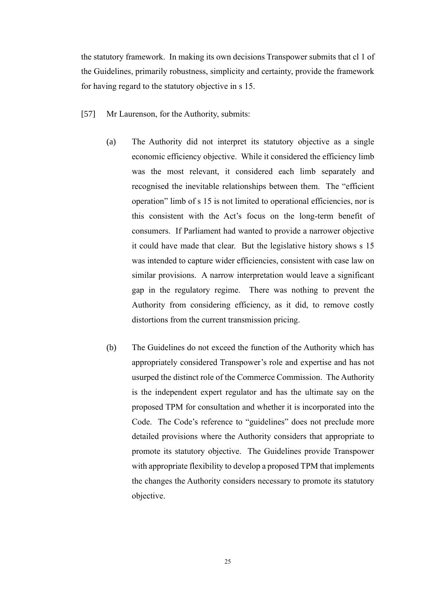the statutory framework. In making its own decisions Transpower submits that cl 1 of the Guidelines, primarily robustness, simplicity and certainty, provide the framework for having regard to the statutory objective in s 15.

- [57] Mr Laurenson, for the Authority, submits:
	- (a) The Authority did not interpret its statutory objective as a single economic efficiency objective. While it considered the efficiency limb was the most relevant, it considered each limb separately and recognised the inevitable relationships between them. The "efficient operation" limb of s 15 is not limited to operational efficiencies, nor is this consistent with the Act's focus on the long-term benefit of consumers. If Parliament had wanted to provide a narrower objective it could have made that clear. But the legislative history shows s 15 was intended to capture wider efficiencies, consistent with case law on similar provisions. A narrow interpretation would leave a significant gap in the regulatory regime. There was nothing to prevent the Authority from considering efficiency, as it did, to remove costly distortions from the current transmission pricing.
	- (b) The Guidelines do not exceed the function of the Authority which has appropriately considered Transpower's role and expertise and has not usurped the distinct role of the Commerce Commission. The Authority is the independent expert regulator and has the ultimate say on the proposed TPM for consultation and whether it is incorporated into the Code. The Code's reference to "guidelines" does not preclude more detailed provisions where the Authority considers that appropriate to promote its statutory objective. The Guidelines provide Transpower with appropriate flexibility to develop a proposed TPM that implements the changes the Authority considers necessary to promote its statutory objective.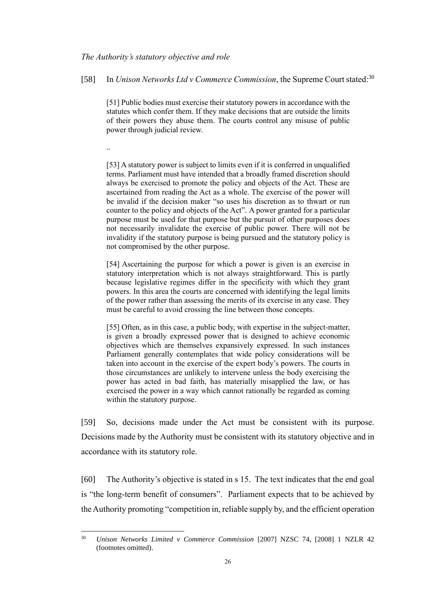#### <span id="page-28-0"></span>*The Authority's statutory objective and role*

[58] In *Unison Networks Ltd v Commerce Commission*, the Supreme Court stated:<sup>30</sup>

<span id="page-28-1"></span>[51] Public bodies must exercise their statutory powers in accordance with the statutes which confer them. If they make decisions that are outside the limits of their powers they abuse them. The courts control any misuse of public power through judicial review.

..

[53] A statutory power is subject to limits even if it is conferred in unqualified terms. Parliament must have intended that a broadly framed discretion should always be exercised to promote the policy and objects of the Act. These are ascertained from reading the Act as a whole. The exercise of the power will be invalid if the decision maker "so uses his discretion as to thwart or run counter to the policy and objects of the Act". A power granted for a particular purpose must be used for that purpose but the pursuit of other purposes does not necessarily invalidate the exercise of public power. There will not be invalidity if the statutory purpose is being pursued and the statutory policy is not compromised by the other purpose.

[54] Ascertaining the purpose for which a power is given is an exercise in statutory interpretation which is not always straightforward. This is partly because legislative regimes differ in the specificity with which they grant powers. In this area the courts are concerned with identifying the legal limits of the power rather than assessing the merits of its exercise in any case. They must be careful to avoid crossing the line between those concepts.

[55] Often, as in this case, a public body, with expertise in the subject-matter, is given a broadly expressed power that is designed to achieve economic objectives which are themselves expansively expressed. In such instances Parliament generally contemplates that wide policy considerations will be taken into account in the exercise of the expert body's powers. The courts in those circumstances are unlikely to intervene unless the body exercising the power has acted in bad faith, has materially misapplied the law, or has exercised the power in a way which cannot rationally be regarded as coming within the statutory purpose.

[59] So, decisions made under the Act must be consistent with its purpose. Decisions made by the Authority must be consistent with its statutory objective and in accordance with its statutory role.

[60] The Authority's objective is stated in s 15. The text indicates that the end goal is "the long-term benefit of consumers". Parliament expects that to be achieved by the Authority promoting "competition in, reliable supply by, and the efficient operation

<sup>30</sup> *Unison Networks Limited v Commerce Commission* [2007] NZSC 74, [2008] 1 NZLR 42 (footnotes omitted).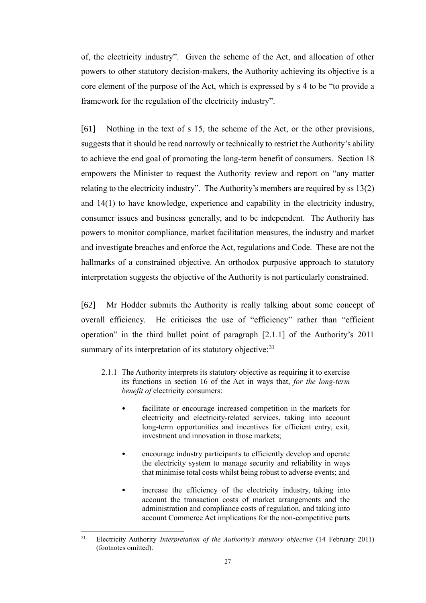of, the electricity industry". Given the scheme of the Act, and allocation of other powers to other statutory decision-makers, the Authority achieving its objective is a core element of the purpose of the Act, which is expressed by s 4 to be "to provide a framework for the regulation of the electricity industry".

[61] Nothing in the text of s 15, the scheme of the Act, or the other provisions, suggests that it should be read narrowly or technically to restrict the Authority's ability to achieve the end goal of promoting the long-term benefit of consumers. Section 18 empowers the Minister to request the Authority review and report on "any matter relating to the electricity industry". The Authority's members are required by ss 13(2) and 14(1) to have knowledge, experience and capability in the electricity industry, consumer issues and business generally, and to be independent. The Authority has powers to monitor compliance, market facilitation measures, the industry and market and investigate breaches and enforce the Act, regulations and Code. These are not the hallmarks of a constrained objective. An orthodox purposive approach to statutory interpretation suggests the objective of the Authority is not particularly constrained.

[62] Mr Hodder submits the Authority is really talking about some concept of overall efficiency. He criticises the use of "efficiency" rather than "efficient operation" in the third bullet point of paragraph [2.1.1] of the Authority's 2011 summary of its interpretation of its statutory objective:<sup>31</sup>

- <span id="page-29-0"></span>2.1.1 The Authority interprets its statutory objective as requiring it to exercise its functions in section 16 of the Act in ways that, *for the long-term benefit of* electricity consumers:
	- facilitate or encourage increased competition in the markets for electricity and electricity-related services, taking into account long-term opportunities and incentives for efficient entry, exit, investment and innovation in those markets;
	- encourage industry participants to efficiently develop and operate the electricity system to manage security and reliability in ways that minimise total costs whilst being robust to adverse events; and
	- increase the efficiency of the electricity industry, taking into account the transaction costs of market arrangements and the administration and compliance costs of regulation, and taking into account Commerce Act implications for the non-competitive parts

<sup>31</sup> Electricity Authority *Interpretation of the Authority's statutory objective* (14 February 2011) (footnotes omitted).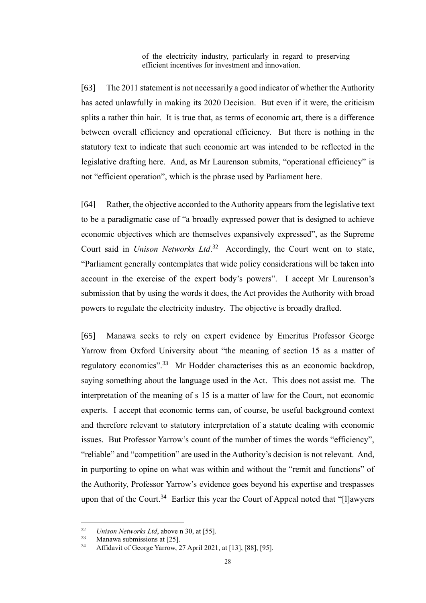of the electricity industry, particularly in regard to preserving efficient incentives for investment and innovation.

[63] The 2011 statement is not necessarily a good indicator of whether the Authority has acted unlawfully in making its 2020 Decision. But even if it were, the criticism splits a rather thin hair. It is true that, as terms of economic art, there is a difference between overall efficiency and operational efficiency. But there is nothing in the statutory text to indicate that such economic art was intended to be reflected in the legislative drafting here. And, as Mr Laurenson submits, "operational efficiency" is not "efficient operation", which is the phrase used by Parliament here.

[64] Rather, the objective accorded to the Authority appears from the legislative text to be a paradigmatic case of "a broadly expressed power that is designed to achieve economic objectives which are themselves expansively expressed", as the Supreme Court said in *Unison Networks Ltd*. <sup>32</sup> Accordingly, the Court went on to state, "Parliament generally contemplates that wide policy considerations will be taken into account in the exercise of the expert body's powers". I accept Mr Laurenson's submission that by using the words it does, the Act provides the Authority with broad powers to regulate the electricity industry. The objective is broadly drafted.

[65] Manawa seeks to rely on expert evidence by Emeritus Professor George Yarrow from Oxford University about "the meaning of section 15 as a matter of regulatory economics".<sup>33</sup> Mr Hodder characterises this as an economic backdrop, saying something about the language used in the Act. This does not assist me. The interpretation of the meaning of s 15 is a matter of law for the Court, not economic experts. I accept that economic terms can, of course, be useful background context and therefore relevant to statutory interpretation of a statute dealing with economic issues. But Professor Yarrow's count of the number of times the words "efficiency", "reliable" and "competition" are used in the Authority's decision is not relevant. And, in purporting to opine on what was within and without the "remit and functions" of the Authority, Professor Yarrow's evidence goes beyond his expertise and trespasses upon that of the Court.<sup>34</sup> Earlier this year the Court of Appeal noted that "[l]awyers

<sup>32</sup> *Unison Networks Ltd*, above [n 30,](#page-28-1) at [55].

 $\frac{33}{34}$  Manawa submissions at [25].

<sup>34</sup> Affidavit of George Yarrow, 27 April 2021, at [13], [88], [95].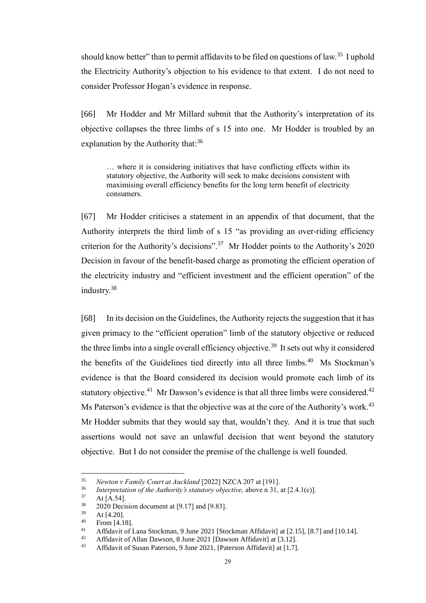should know better" than to permit affidavits to be filed on questions of law.<sup>35</sup> I uphold the Electricity Authority's objection to his evidence to that extent. I do not need to consider Professor Hogan's evidence in response.

[66] Mr Hodder and Mr Millard submit that the Authority's interpretation of its objective collapses the three limbs of s 15 into one. Mr Hodder is troubled by an explanation by the Authority that:<sup>36</sup>

… where it is considering initiatives that have conflicting effects within its statutory objective, the Authority will seek to make decisions consistent with maximising overall efficiency benefits for the long term benefit of electricity consumers.

[67] Mr Hodder criticises a statement in an appendix of that document, that the Authority interprets the third limb of s 15 "as providing an over-riding efficiency criterion for the Authority's decisions".<sup>37</sup> Mr Hodder points to the Authority's 2020 Decision in favour of the benefit-based charge as promoting the efficient operation of the electricity industry and "efficient investment and the efficient operation" of the industry.<sup>38</sup>

[68] In its decision on the Guidelines, the Authority rejects the suggestion that it has given primacy to the "efficient operation" limb of the statutory objective or reduced the three limbs into a single overall efficiency objective.<sup>39</sup> It sets out why it considered the benefits of the Guidelines tied directly into all three limbs.<sup>40</sup> Ms Stockman's evidence is that the Board considered its decision would promote each limb of its statutory objective.<sup>41</sup> Mr Dawson's evidence is that all three limbs were considered.<sup>42</sup> Ms Paterson's evidence is that the objective was at the core of the Authority's work.<sup>43</sup> Mr Hodder submits that they would say that, wouldn't they. And it is true that such assertions would not save an unlawful decision that went beyond the statutory objective. But I do not consider the premise of the challenge is well founded.

<sup>35</sup> *Newton v Family Court at Auckland* [2022] NZCA 207 at [191].

<sup>&</sup>lt;sup>36</sup> *Interpretation of the Authority's statutory objective, above n [31,](#page-29-0) at [2.4.1(c)].*<br><sup>37</sup> **At [A, 54]** 

 $37 \text{ At [A.54].}$ <br> $38 \text{ } 2020 \text{ Deci}$ 

 $^{38}$  2020 Decision document at [9.17] and [9.83].

At [4.20].

 $^{40}$  From [4.18].

<sup>41</sup> Affidavit of Lana Stockman, 9 June 2021 [Stockman Affidavit] at [2.15], [8.7] and [10.14].

<sup>42</sup> Affidavit of Allan Dawson, 8 June 2021 [Dawson Affidavit] at  $[3.12]$ .<br>43 Affidavit of Susan Peterson, 9 June 2021, [Peterson Affidavit] at  $[1, 7]$ 

Affidavit of Susan Paterson, 9 June 2021, [Paterson Affidavit] at [1.7].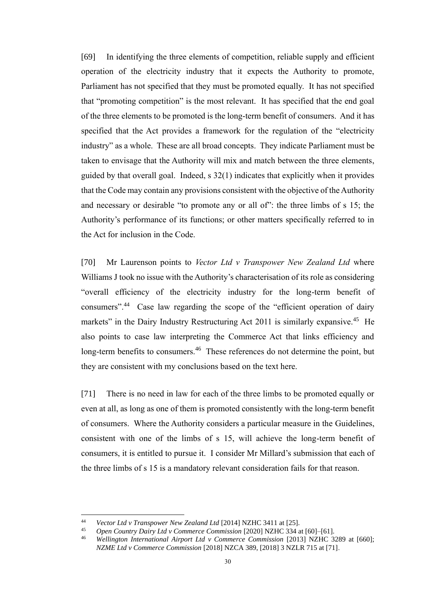[69] In identifying the three elements of competition, reliable supply and efficient operation of the electricity industry that it expects the Authority to promote, Parliament has not specified that they must be promoted equally. It has not specified that "promoting competition" is the most relevant. It has specified that the end goal of the three elements to be promoted is the long-term benefit of consumers. And it has specified that the Act provides a framework for the regulation of the "electricity industry" as a whole. These are all broad concepts. They indicate Parliament must be taken to envisage that the Authority will mix and match between the three elements, guided by that overall goal. Indeed, s 32(1) indicates that explicitly when it provides that the Code may contain any provisions consistent with the objective of the Authority and necessary or desirable "to promote any or all of": the three limbs of s 15; the Authority's performance of its functions; or other matters specifically referred to in the Act for inclusion in the Code.

[70] Mr Laurenson points to *Vector Ltd v Transpower New Zealand Ltd* where Williams J took no issue with the Authority's characterisation of its role as considering "overall efficiency of the electricity industry for the long-term benefit of consumers".<sup>44</sup> Case law regarding the scope of the "efficient operation of dairy markets" in the Dairy Industry Restructuring Act 2011 is similarly expansive.<sup>45</sup> He also points to case law interpreting the Commerce Act that links efficiency and long-term benefits to consumers.<sup>46</sup> These references do not determine the point, but they are consistent with my conclusions based on the text here.

[71] There is no need in law for each of the three limbs to be promoted equally or even at all, as long as one of them is promoted consistently with the long-term benefit of consumers. Where the Authority considers a particular measure in the Guidelines, consistent with one of the limbs of s 15, will achieve the long-term benefit of consumers, it is entitled to pursue it. I consider Mr Millard's submission that each of the three limbs of s 15 is a mandatory relevant consideration fails for that reason.

<sup>44</sup> *Vector Ltd v Transpower New Zealand Ltd* [2014] NZHC 3411 at [25].

<sup>&</sup>lt;sup>45</sup> Open Country Dairy Ltd v Commerce Commission [2020] NZHC 334 at [60]-[61].<br><sup>46</sup> Wellington, International Airport Ltd v Commerce Commission [2013] NZHC 33

<sup>46</sup> *Wellington International Airport Ltd v Commerce Commission* [2013] NZHC 3289 at [660]; *NZME Ltd v Commerce Commission* [2018] NZCA 389, [2018] 3 NZLR 715 at [71].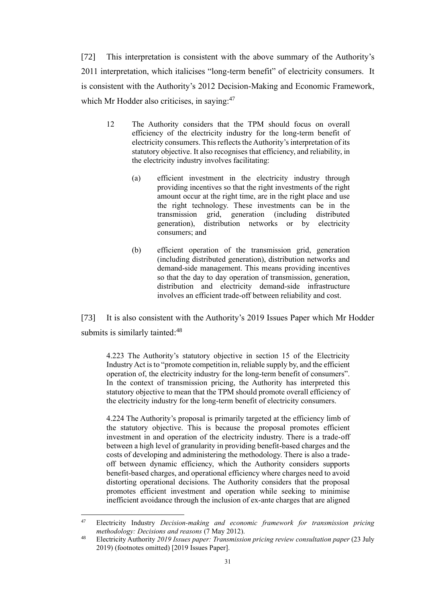[72] This interpretation is consistent with the above summary of the Authority's 2011 interpretation, which italicises "long-term benefit" of electricity consumers. It is consistent with the Authority's 2012 Decision-Making and Economic Framework, which Mr Hodder also criticises, in saying:<sup>47</sup>

- 12 The Authority considers that the TPM should focus on overall efficiency of the electricity industry for the long-term benefit of electricity consumers. This reflects the Authority's interpretation of its statutory objective. It also recognises that efficiency, and reliability, in the electricity industry involves facilitating:
	- (a) efficient investment in the electricity industry through providing incentives so that the right investments of the right amount occur at the right time, are in the right place and use the right technology. These investments can be in the transmission grid, generation (including distributed generation), distribution networks or by electricity consumers; and
	- (b) efficient operation of the transmission grid, generation (including distributed generation), distribution networks and demand-side management. This means providing incentives so that the day to day operation of transmission, generation, distribution and electricity demand-side infrastructure involves an efficient trade-off between reliability and cost.

[73] It is also consistent with the Authority's 2019 Issues Paper which Mr Hodder submits is similarly tainted:<sup>48</sup>

4.223 The Authority's statutory objective in section 15 of the Electricity Industry Act is to "promote competition in, reliable supply by, and the efficient operation of, the electricity industry for the long-term benefit of consumers". In the context of transmission pricing, the Authority has interpreted this statutory objective to mean that the TPM should promote overall efficiency of the electricity industry for the long-term benefit of electricity consumers.

4.224 The Authority's proposal is primarily targeted at the efficiency limb of the statutory objective. This is because the proposal promotes efficient investment in and operation of the electricity industry. There is a trade-off between a high level of granularity in providing benefit-based charges and the costs of developing and administering the methodology. There is also a tradeoff between dynamic efficiency, which the Authority considers supports benefit-based charges, and operational efficiency where charges need to avoid distorting operational decisions. The Authority considers that the proposal promotes efficient investment and operation while seeking to minimise inefficient avoidance through the inclusion of ex-ante charges that are aligned

<sup>47</sup> Electricity Industry *Decision-making and economic framework for transmission pricing methodology: Decisions and reasons* (7 May 2012).

<sup>48</sup> Electricity Authority *2019 Issues paper: Transmission pricing review consultation paper* (23 July 2019) (footnotes omitted) [2019 Issues Paper].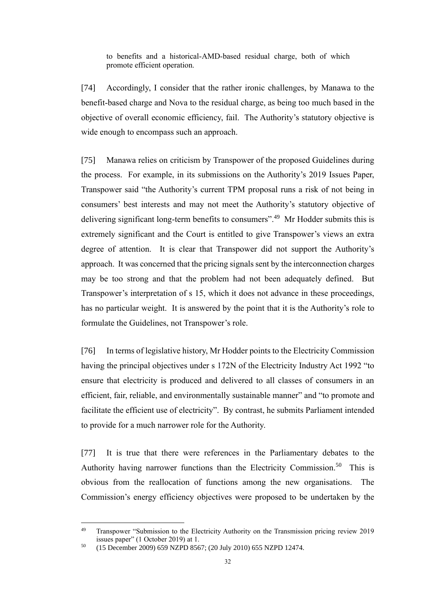to benefits and a historical-AMD-based residual charge, both of which promote efficient operation.

[74] Accordingly, I consider that the rather ironic challenges, by Manawa to the benefit-based charge and Nova to the residual charge, as being too much based in the objective of overall economic efficiency, fail. The Authority's statutory objective is wide enough to encompass such an approach.

[75] Manawa relies on criticism by Transpower of the proposed Guidelines during the process. For example, in its submissions on the Authority's 2019 Issues Paper, Transpower said "the Authority's current TPM proposal runs a risk of not being in consumers' best interests and may not meet the Authority's statutory objective of delivering significant long-term benefits to consumers".<sup>49</sup> Mr Hodder submits this is extremely significant and the Court is entitled to give Transpower's views an extra degree of attention. It is clear that Transpower did not support the Authority's approach. It was concerned that the pricing signals sent by the interconnection charges may be too strong and that the problem had not been adequately defined. But Transpower's interpretation of s 15, which it does not advance in these proceedings, has no particular weight. It is answered by the point that it is the Authority's role to formulate the Guidelines, not Transpower's role.

[76] In terms of legislative history, Mr Hodder points to the Electricity Commission having the principal objectives under s 172N of the Electricity Industry Act 1992 "to ensure that electricity is produced and delivered to all classes of consumers in an efficient, fair, reliable, and environmentally sustainable manner" and "to promote and facilitate the efficient use of electricity". By contrast, he submits Parliament intended to provide for a much narrower role for the Authority.

[77] It is true that there were references in the Parliamentary debates to the Authority having narrower functions than the Electricity Commission.<sup>50</sup> This is obvious from the reallocation of functions among the new organisations. The Commission's energy efficiency objectives were proposed to be undertaken by the

<sup>&</sup>lt;sup>49</sup> Transpower "Submission to the Electricity Authority on the Transmission pricing review 2019 issues paper" (1 October 2019) at 1.

<sup>50</sup> (15 December 2009) 659 NZPD 8567; (20 July 2010) 655 NZPD 12474.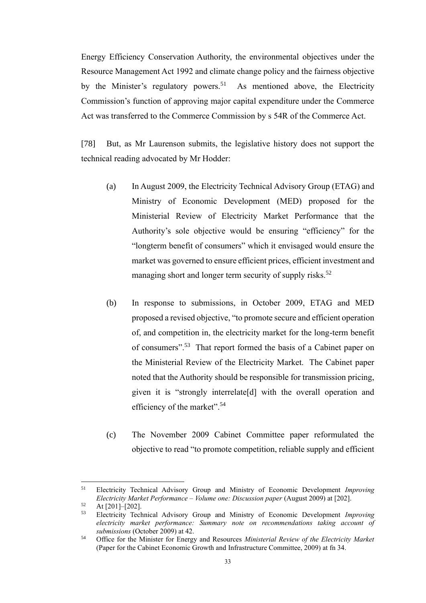Energy Efficiency Conservation Authority, the environmental objectives under the Resource Management Act 1992 and climate change policy and the fairness objective by the Minister's regulatory powers.<sup>51</sup> As mentioned above, the Electricity Commission's function of approving major capital expenditure under the Commerce Act was transferred to the Commerce Commission by s 54R of the Commerce Act.

[78] But, as Mr Laurenson submits, the legislative history does not support the technical reading advocated by Mr Hodder:

- (a) In August 2009, the Electricity Technical Advisory Group (ETAG) and Ministry of Economic Development (MED) proposed for the Ministerial Review of Electricity Market Performance that the Authority's sole objective would be ensuring "efficiency" for the "longterm benefit of consumers" which it envisaged would ensure the market was governed to ensure efficient prices, efficient investment and managing short and longer term security of supply risks.<sup>52</sup>
- (b) In response to submissions, in October 2009, ETAG and MED proposed a revised objective, "to promote secure and efficient operation of, and competition in, the electricity market for the long-term benefit of consumers".<sup>53</sup> That report formed the basis of a Cabinet paper on the Ministerial Review of the Electricity Market. The Cabinet paper noted that the Authority should be responsible for transmission pricing, given it is "strongly interrelate[d] with the overall operation and efficiency of the market".<sup>54</sup>
- (c) The November 2009 Cabinet Committee paper reformulated the objective to read "to promote competition, reliable supply and efficient

<sup>51</sup> Electricity Technical Advisory Group and Ministry of Economic Development *Improving Electricity Market Performance – Volume one: Discussion paper* (August 2009) at [202].

 $52$  At [201]–[202].

<sup>53</sup> Electricity Technical Advisory Group and Ministry of Economic Development *Improving electricity market performance: Summary note on recommendations taking account of submissions* (October 2009) at 42.

<sup>54</sup> Office for the Minister for Energy and Resources *Ministerial Review of the Electricity Market*  (Paper for the Cabinet Economic Growth and Infrastructure Committee, 2009) at fn 34.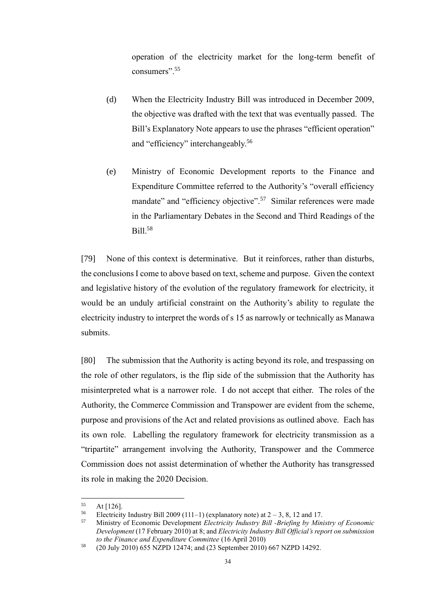operation of the electricity market for the long-term benefit of consumers".<sup>55</sup>

- (d) When the Electricity Industry Bill was introduced in December 2009, the objective was drafted with the text that was eventually passed. The Bill's Explanatory Note appears to use the phrases "efficient operation" and "efficiency" interchangeably.<sup>56</sup>
- (e) Ministry of Economic Development reports to the Finance and Expenditure Committee referred to the Authority's "overall efficiency mandate" and "efficiency objective".<sup>57</sup> Similar references were made in the Parliamentary Debates in the Second and Third Readings of the Bill.<sup>58</sup>

[79] None of this context is determinative. But it reinforces, rather than disturbs, the conclusions I come to above based on text, scheme and purpose. Given the context and legislative history of the evolution of the regulatory framework for electricity, it would be an unduly artificial constraint on the Authority's ability to regulate the electricity industry to interpret the words of s 15 as narrowly or technically as Manawa submits.

[80] The submission that the Authority is acting beyond its role, and trespassing on the role of other regulators, is the flip side of the submission that the Authority has misinterpreted what is a narrower role. I do not accept that either. The roles of the Authority, the Commerce Commission and Transpower are evident from the scheme, purpose and provisions of the Act and related provisions as outlined above. Each has its own role. Labelling the regulatory framework for electricity transmission as a "tripartite" arrangement involving the Authority, Transpower and the Commerce Commission does not assist determination of whether the Authority has transgressed its role in making the 2020 Decision.

 $55$  At [126].

Electricity Industry Bill 2009 (111–1) (explanatory note) at  $2 - 3$ , 8, 12 and 17.

<sup>57</sup> Ministry of Economic Development *Electricity Industry Bill -Briefing by Ministry of Economic Development* (17 February 2010) at 8; and *Electricity Industry Bill Official's report on submission to the Finance and Expenditure Committee* (16 April 2010)

<sup>58</sup> (20 July 2010) 655 NZPD 12474; and (23 September 2010) 667 NZPD 14292.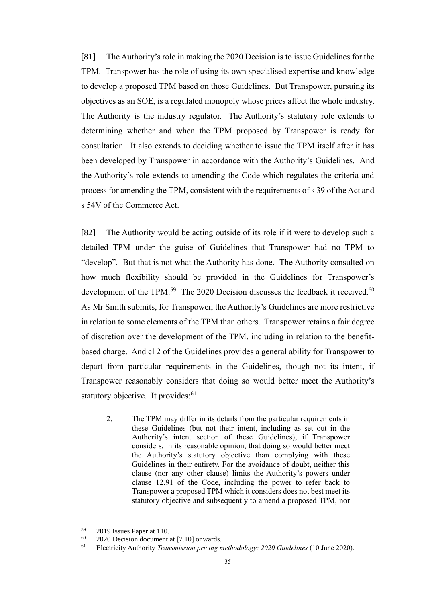[81] The Authority's role in making the 2020 Decision is to issue Guidelines for the TPM. Transpower has the role of using its own specialised expertise and knowledge to develop a proposed TPM based on those Guidelines. But Transpower, pursuing its objectives as an SOE, is a regulated monopoly whose prices affect the whole industry. The Authority is the industry regulator. The Authority's statutory role extends to determining whether and when the TPM proposed by Transpower is ready for consultation. It also extends to deciding whether to issue the TPM itself after it has been developed by Transpower in accordance with the Authority's Guidelines. And the Authority's role extends to amending the Code which regulates the criteria and process for amending the TPM, consistent with the requirements of s 39 of the Act and s 54V of the Commerce Act.

[82] The Authority would be acting outside of its role if it were to develop such a detailed TPM under the guise of Guidelines that Transpower had no TPM to "develop". But that is not what the Authority has done. The Authority consulted on how much flexibility should be provided in the Guidelines for Transpower's development of the TPM.<sup>59</sup> The 2020 Decision discusses the feedback it received.<sup>60</sup> As Mr Smith submits, for Transpower, the Authority's Guidelines are more restrictive in relation to some elements of the TPM than others. Transpower retains a fair degree of discretion over the development of the TPM, including in relation to the benefitbased charge. And cl 2 of the Guidelines provides a general ability for Transpower to depart from particular requirements in the Guidelines, though not its intent, if Transpower reasonably considers that doing so would better meet the Authority's statutory objective. It provides:<sup>61</sup>

2. The TPM may differ in its details from the particular requirements in these Guidelines (but not their intent, including as set out in the Authority's intent section of these Guidelines), if Transpower considers, in its reasonable opinion, that doing so would better meet the Authority's statutory objective than complying with these Guidelines in their entirety. For the avoidance of doubt, neither this clause (nor any other clause) limits the Authority's powers under clause 12.91 of the Code, including the power to refer back to Transpower a proposed TPM which it considers does not best meet its statutory objective and subsequently to amend a proposed TPM, nor

 $^{59}$  2019 Issues Paper at 110.<br> $^{60}$  2020 Decision document

<sup>&</sup>lt;sup>60</sup> 2020 Decision document at [7.10] onwards.<br><sup>61</sup> Electricity Authority Transmission pricing n

<sup>61</sup> Electricity Authority *Transmission pricing methodology: 2020 Guidelines* (10 June 2020).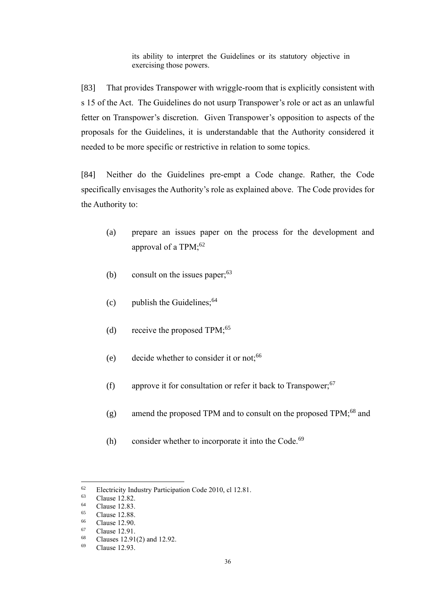its ability to interpret the Guidelines or its statutory objective in exercising those powers.

[83] That provides Transpower with wriggle-room that is explicitly consistent with s 15 of the Act. The Guidelines do not usurp Transpower's role or act as an unlawful fetter on Transpower's discretion. Given Transpower's opposition to aspects of the proposals for the Guidelines, it is understandable that the Authority considered it needed to be more specific or restrictive in relation to some topics.

[84] Neither do the Guidelines pre-empt a Code change. Rather, the Code specifically envisages the Authority's role as explained above. The Code provides for the Authority to:

- (a) prepare an issues paper on the process for the development and approval of a  $TPM$ ;<sup>62</sup>
- (b) consult on the issues paper;  $63$
- (c) publish the Guidelines;  $64$
- (d) receive the proposed TPM; $^{65}$
- (e) decide whether to consider it or not;<sup>66</sup>
- (f) approve it for consultation or refer it back to Transpower; $67$
- $(g)$  amend the proposed TPM and to consult on the proposed TPM;<sup>68</sup> and
- (h) consider whether to incorporate it into the Code. $69$

<sup>&</sup>lt;sup>62</sup> Electricity Industry Participation Code 2010, cl 12.81.<br>Clause 12.82

 $^{63}$  Clause 12.82.

 $^{64}$  Clause 12.83.

Clause 12.88.

 $^{66}$  Clause 12.90.

 $^{67}$  Clause 12.91.

 $^{68}$  Clauses 12.91(2) and 12.92.<br> $^{69}$  Clause 12.93

Clause 12.93.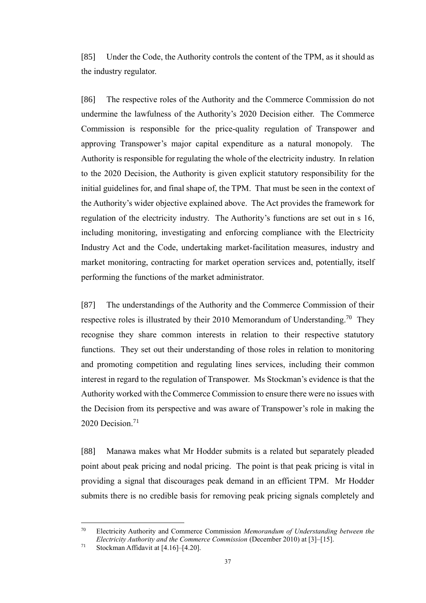[85] Under the Code, the Authority controls the content of the TPM, as it should as the industry regulator.

[86] The respective roles of the Authority and the Commerce Commission do not undermine the lawfulness of the Authority's 2020 Decision either. The Commerce Commission is responsible for the price-quality regulation of Transpower and approving Transpower's major capital expenditure as a natural monopoly. The Authority is responsible for regulating the whole of the electricity industry. In relation to the 2020 Decision, the Authority is given explicit statutory responsibility for the initial guidelines for, and final shape of, the TPM. That must be seen in the context of the Authority's wider objective explained above. The Act provides the framework for regulation of the electricity industry. The Authority's functions are set out in s 16, including monitoring, investigating and enforcing compliance with the Electricity Industry Act and the Code, undertaking market-facilitation measures, industry and market monitoring, contracting for market operation services and, potentially, itself performing the functions of the market administrator.

[87] The understandings of the Authority and the Commerce Commission of their respective roles is illustrated by their 2010 Memorandum of Understanding.<sup>70</sup> They recognise they share common interests in relation to their respective statutory functions. They set out their understanding of those roles in relation to monitoring and promoting competition and regulating lines services, including their common interest in regard to the regulation of Transpower. Ms Stockman's evidence is that the Authority worked with the Commerce Commission to ensure there were no issues with the Decision from its perspective and was aware of Transpower's role in making the 2020 Decision. $71$ 

[88] Manawa makes what Mr Hodder submits is a related but separately pleaded point about peak pricing and nodal pricing. The point is that peak pricing is vital in providing a signal that discourages peak demand in an efficient TPM. Mr Hodder submits there is no credible basis for removing peak pricing signals completely and

<sup>70</sup> Electricity Authority and Commerce Commission *Memorandum of Understanding between the Electricity Authority and the Commerce Commission* (December 2010) at [3]–[15].

 $71$  Stockman Affidavit at [4.16]–[4.20].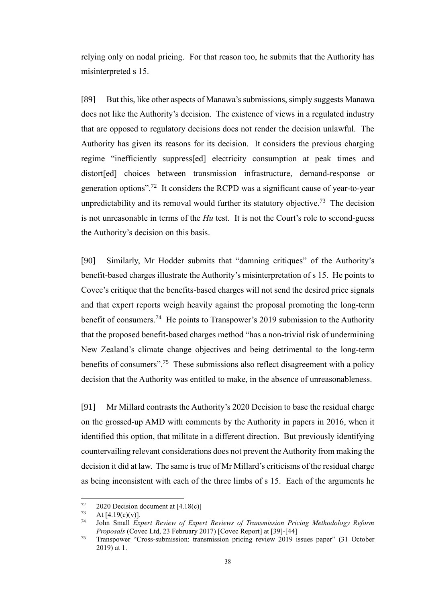relying only on nodal pricing. For that reason too, he submits that the Authority has misinterpreted s 15.

[89] But this, like other aspects of Manawa's submissions, simply suggests Manawa does not like the Authority's decision. The existence of views in a regulated industry that are opposed to regulatory decisions does not render the decision unlawful. The Authority has given its reasons for its decision. It considers the previous charging regime "inefficiently suppress[ed] electricity consumption at peak times and distort[ed] choices between transmission infrastructure, demand-response or generation options".<sup>72</sup> It considers the RCPD was a significant cause of year-to-year unpredictability and its removal would further its statutory objective.<sup>73</sup> The decision is not unreasonable in terms of the *Hu* test. It is not the Court's role to second-guess the Authority's decision on this basis.

[90] Similarly, Mr Hodder submits that "damning critiques" of the Authority's benefit-based charges illustrate the Authority's misinterpretation of s 15. He points to Covec's critique that the benefits-based charges will not send the desired price signals and that expert reports weigh heavily against the proposal promoting the long-term benefit of consumers.<sup>74</sup> He points to Transpower's 2019 submission to the Authority that the proposed benefit-based charges method "has a non-trivial risk of undermining New Zealand's climate change objectives and being detrimental to the long-term benefits of consumers".<sup>75</sup> These submissions also reflect disagreement with a policy decision that the Authority was entitled to make, in the absence of unreasonableness.

[91] Mr Millard contrasts the Authority's 2020 Decision to base the residual charge on the grossed-up AMD with comments by the Authority in papers in 2016, when it identified this option, that militate in a different direction. But previously identifying countervailing relevant considerations does not prevent the Authority from making the decision it did at law. The same is true of Mr Millard's criticisms of the residual charge as being inconsistent with each of the three limbs of s 15. Each of the arguments he

<sup>72 2020</sup> Decision document at  $[4.18(c)]$ <br>  $4 + 54.19(c)(v)$ 

At  $[4.19(c)(v)]$ .

<sup>74</sup> John Small *Expert Review of Expert Reviews of Transmission Pricing Methodology Reform Proposals* (Covec Ltd, 23 February 2017) [Covec Report] at [39]-[44]

<sup>75</sup> Transpower "Cross-submission: transmission pricing review 2019 issues paper" (31 October 2019) at 1.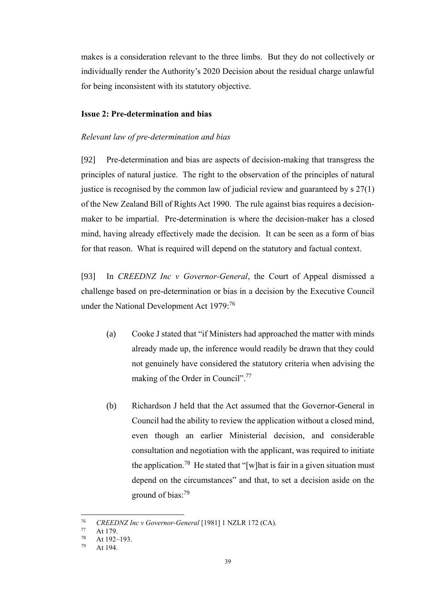makes is a consideration relevant to the three limbs. But they do not collectively or individually render the Authority's 2020 Decision about the residual charge unlawful for being inconsistent with its statutory objective.

#### <span id="page-41-0"></span>**Issue 2: Pre-determination and bias**

#### <span id="page-41-1"></span>*Relevant law of pre-determination and bias*

[92] Pre-determination and bias are aspects of decision-making that transgress the principles of natural justice. The right to the observation of the principles of natural justice is recognised by the common law of judicial review and guaranteed by  $s \frac{27(1)}{2}$ of the New Zealand Bill of Rights Act 1990. The rule against bias requires a decisionmaker to be impartial. Pre-determination is where the decision-maker has a closed mind, having already effectively made the decision. It can be seen as a form of bias for that reason. What is required will depend on the statutory and factual context.

[93] In *CREEDNZ Inc v Governor-General*, the Court of Appeal dismissed a challenge based on pre-determination or bias in a decision by the Executive Council under the National Development Act 1979:<sup>76</sup>

- (a) Cooke J stated that "if Ministers had approached the matter with minds already made up, the inference would readily be drawn that they could not genuinely have considered the statutory criteria when advising the making of the Order in Council".<sup>77</sup>
- (b) Richardson J held that the Act assumed that the Governor-General in Council had the ability to review the application without a closed mind, even though an earlier Ministerial decision, and considerable consultation and negotiation with the applicant, was required to initiate the application.<sup>78</sup> He stated that "[w]hat is fair in a given situation must depend on the circumstances" and that, to set a decision aside on the ground of bias: 79

<sup>76</sup> *CREEDNZ Inc v Governor-General* [1981] 1 NZLR 172 (CA).

 $\frac{77}{78}$  At 179.

At 192–193.

 $^{79}$  At 194.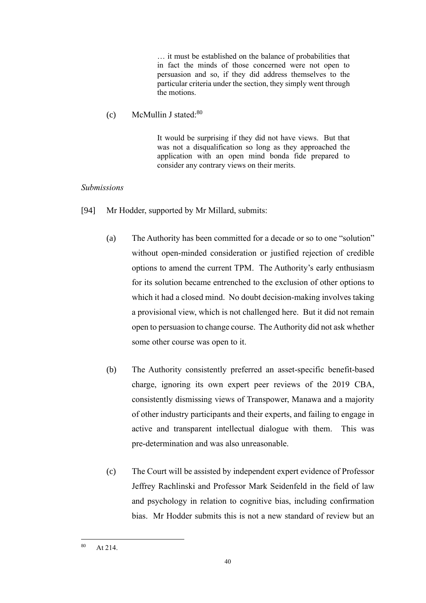… it must be established on the balance of probabilities that in fact the minds of those concerned were not open to persuasion and so, if they did address themselves to the particular criteria under the section, they simply went through the motions.

## $(c)$  McMullin J stated:<sup>80</sup>

It would be surprising if they did not have views. But that was not a disqualification so long as they approached the application with an open mind bonda fide prepared to consider any contrary views on their merits.

## <span id="page-42-0"></span>*Submissions*

- [94] Mr Hodder, supported by Mr Millard, submits:
	- (a) The Authority has been committed for a decade or so to one "solution" without open-minded consideration or justified rejection of credible options to amend the current TPM. The Authority's early enthusiasm for its solution became entrenched to the exclusion of other options to which it had a closed mind. No doubt decision-making involves taking a provisional view, which is not challenged here. But it did not remain open to persuasion to change course. The Authority did not ask whether some other course was open to it.
	- (b) The Authority consistently preferred an asset-specific benefit-based charge, ignoring its own expert peer reviews of the 2019 CBA, consistently dismissing views of Transpower, Manawa and a majority of other industry participants and their experts, and failing to engage in active and transparent intellectual dialogue with them. This was pre-determination and was also unreasonable.
	- (c) The Court will be assisted by independent expert evidence of Professor Jeffrey Rachlinski and Professor Mark Seidenfeld in the field of law and psychology in relation to cognitive bias, including confirmation bias. Mr Hodder submits this is not a new standard of review but an

<sup>80</sup> At 214.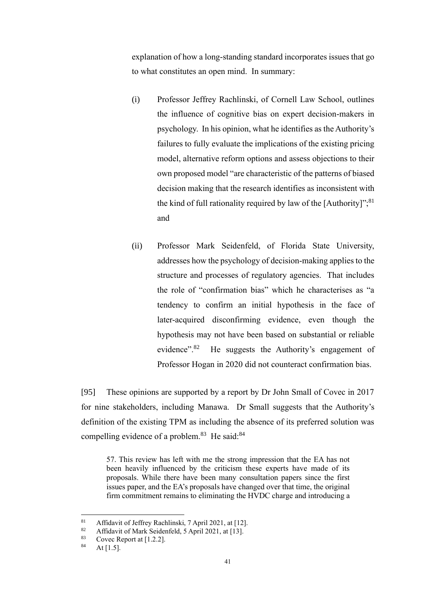explanation of how a long-standing standard incorporates issues that go to what constitutes an open mind. In summary:

- (i) Professor Jeffrey Rachlinski, of Cornell Law School, outlines the influence of cognitive bias on expert decision-makers in psychology. In his opinion, what he identifies as the Authority's failures to fully evaluate the implications of the existing pricing model, alternative reform options and assess objections to their own proposed model "are characteristic of the patterns of biased decision making that the research identifies as inconsistent with the kind of full rationality required by law of the [Authority]"; $^{81}$ and
- (ii) Professor Mark Seidenfeld, of Florida State University, addresses how the psychology of decision-making applies to the structure and processes of regulatory agencies. That includes the role of "confirmation bias" which he characterises as "a tendency to confirm an initial hypothesis in the face of later-acquired disconfirming evidence, even though the hypothesis may not have been based on substantial or reliable evidence".<sup>82</sup> He suggests the Authority's engagement of Professor Hogan in 2020 did not counteract confirmation bias.

[95] These opinions are supported by a report by Dr John Small of Covec in 2017 for nine stakeholders, including Manawa. Dr Small suggests that the Authority's definition of the existing TPM as including the absence of its preferred solution was compelling evidence of a problem.<sup>83</sup> He said:<sup>84</sup>

57. This review has left with me the strong impression that the EA has not been heavily influenced by the criticism these experts have made of its proposals. While there have been many consultation papers since the first issues paper, and the EA's proposals have changed over that time, the original firm commitment remains to eliminating the HVDC charge and introducing a

<sup>&</sup>lt;sup>81</sup> Affidavit of Jeffrey Rachlinski, 7 April 2021, at [12].

<sup>&</sup>lt;sup>82</sup> Affidavit of Mark Seidenfeld, 5 April 2021, at [13].

<sup>&</sup>lt;sup>83</sup> Covec Report at [1.2.2].<br><sup>84</sup> At [1.5]

At  $[1.5]$ .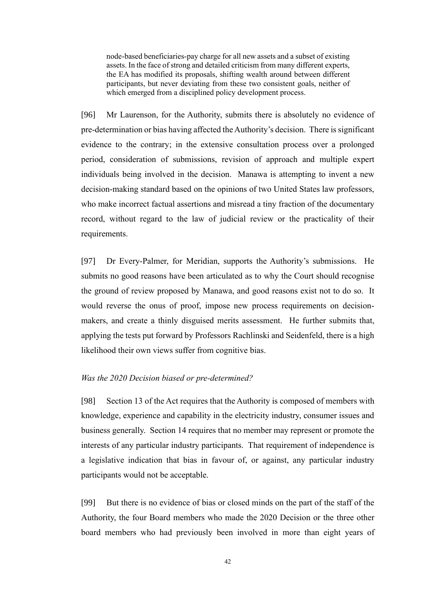node-based beneficiaries-pay charge for all new assets and a subset of existing assets. In the face of strong and detailed criticism from many different experts, the EA has modified its proposals, shifting wealth around between different participants, but never deviating from these two consistent goals, neither of which emerged from a disciplined policy development process.

[96] Mr Laurenson, for the Authority, submits there is absolutely no evidence of pre-determination or bias having affected the Authority's decision. There is significant evidence to the contrary; in the extensive consultation process over a prolonged period, consideration of submissions, revision of approach and multiple expert individuals being involved in the decision. Manawa is attempting to invent a new decision-making standard based on the opinions of two United States law professors, who make incorrect factual assertions and misread a tiny fraction of the documentary record, without regard to the law of judicial review or the practicality of their requirements.

[97] Dr Every-Palmer, for Meridian, supports the Authority's submissions. He submits no good reasons have been articulated as to why the Court should recognise the ground of review proposed by Manawa, and good reasons exist not to do so. It would reverse the onus of proof, impose new process requirements on decisionmakers, and create a thinly disguised merits assessment. He further submits that, applying the tests put forward by Professors Rachlinski and Seidenfeld, there is a high likelihood their own views suffer from cognitive bias.

#### <span id="page-44-0"></span>*Was the 2020 Decision biased or pre-determined?*

[98] Section 13 of the Act requires that the Authority is composed of members with knowledge, experience and capability in the electricity industry, consumer issues and business generally. Section 14 requires that no member may represent or promote the interests of any particular industry participants. That requirement of independence is a legislative indication that bias in favour of, or against, any particular industry participants would not be acceptable.

[99] But there is no evidence of bias or closed minds on the part of the staff of the Authority, the four Board members who made the 2020 Decision or the three other board members who had previously been involved in more than eight years of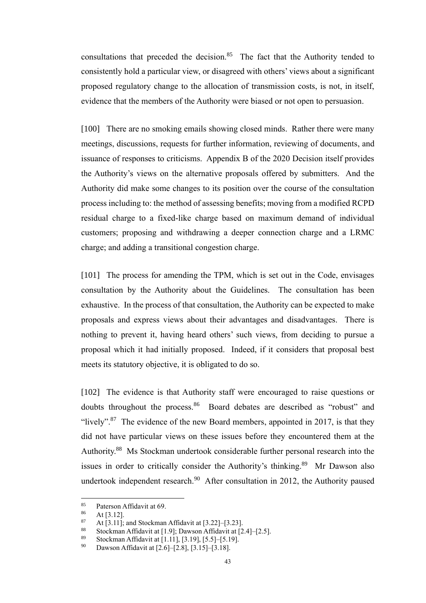consultations that preceded the decision. $85$  The fact that the Authority tended to consistently hold a particular view, or disagreed with others' views about a significant proposed regulatory change to the allocation of transmission costs, is not, in itself, evidence that the members of the Authority were biased or not open to persuasion.

[100] There are no smoking emails showing closed minds. Rather there were many meetings, discussions, requests for further information, reviewing of documents, and issuance of responses to criticisms. Appendix B of the 2020 Decision itself provides the Authority's views on the alternative proposals offered by submitters. And the Authority did make some changes to its position over the course of the consultation process including to: the method of assessing benefits; moving from a modified RCPD residual charge to a fixed-like charge based on maximum demand of individual customers; proposing and withdrawing a deeper connection charge and a LRMC charge; and adding a transitional congestion charge.

[101] The process for amending the TPM, which is set out in the Code, envisages consultation by the Authority about the Guidelines. The consultation has been exhaustive. In the process of that consultation, the Authority can be expected to make proposals and express views about their advantages and disadvantages. There is nothing to prevent it, having heard others' such views, from deciding to pursue a proposal which it had initially proposed. Indeed, if it considers that proposal best meets its statutory objective, it is obligated to do so.

[102] The evidence is that Authority staff were encouraged to raise questions or doubts throughout the process.<sup>86</sup> Board debates are described as "robust" and "lively".<sup>87</sup> The evidence of the new Board members, appointed in 2017, is that they did not have particular views on these issues before they encountered them at the Authority.<sup>88</sup> Ms Stockman undertook considerable further personal research into the issues in order to critically consider the Authority's thinking.<sup>89</sup> Mr Dawson also undertook independent research.<sup>90</sup> After consultation in 2012, the Authority paused

<sup>&</sup>lt;sup>85</sup> Paterson Affidavit at 69.<br><sup>86</sup> At [3, 12]

 $\frac{86}{87}$  At [3.12].

At  $[3.11]$ ; and Stockman Affidavit at  $[3.22]$ – $[3.23]$ .

<sup>88</sup> Stockman Affidavit at  $[1.9]$ ; Dawson Affidavit at  $[2.4]$ – $[2.5]$ .

Stockman Affidavit at [1.11], [3.19], [5.5]-[5.19].

<sup>90</sup> Dawson Affidavit at  $[2.6]$ – $[2.8]$ ,  $[3.15]$ – $[3.18]$ .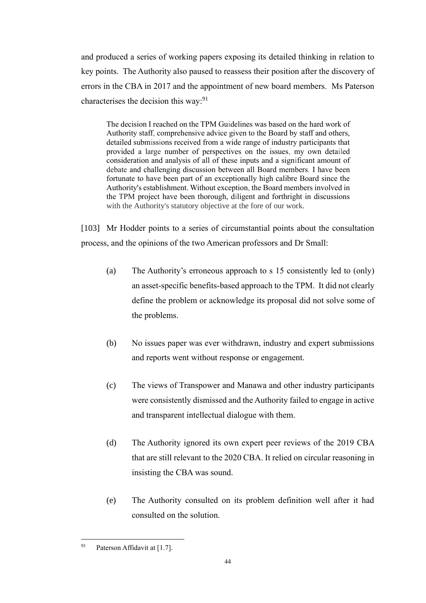and produced a series of working papers exposing its detailed thinking in relation to key points. The Authority also paused to reassess their position after the discovery of errors in the CBA in 2017 and the appointment of new board members. Ms Paterson characterises the decision this way:  $91$ 

The decision I reached on the TPM Guidelines was based on the hard work of Authority staff, comprehensive advice given to the Board by staff and others, detailed submissions received from a wide range of industry participants that provided a large number of perspectives on the issues, my own detailed consideration and analysis of all of these inputs and a significant amount of debate and challenging discussion between all Board members. I have been fortunate to have been part of an exceptionally high calibre Board since the Authority's establishment. Without exception, the Board members involved in the TPM project have been thorough, diligent and forthright in discussions with the Authority's statutory objective at the fore of our work.

[103] Mr Hodder points to a series of circumstantial points about the consultation process, and the opinions of the two American professors and Dr Small:

- (a) The Authority's erroneous approach to s 15 consistently led to (only) an asset-specific benefits-based approach to the TPM. It did not clearly define the problem or acknowledge its proposal did not solve some of the problems.
- (b) No issues paper was ever withdrawn, industry and expert submissions and reports went without response or engagement.
- (c) The views of Transpower and Manawa and other industry participants were consistently dismissed and the Authority failed to engage in active and transparent intellectual dialogue with them.
- (d) The Authority ignored its own expert peer reviews of the 2019 CBA that are still relevant to the 2020 CBA. It relied on circular reasoning in insisting the CBA was sound.
- (e) The Authority consulted on its problem definition well after it had consulted on the solution.

<sup>&</sup>lt;sup>91</sup> Paterson Affidavit at [1.7].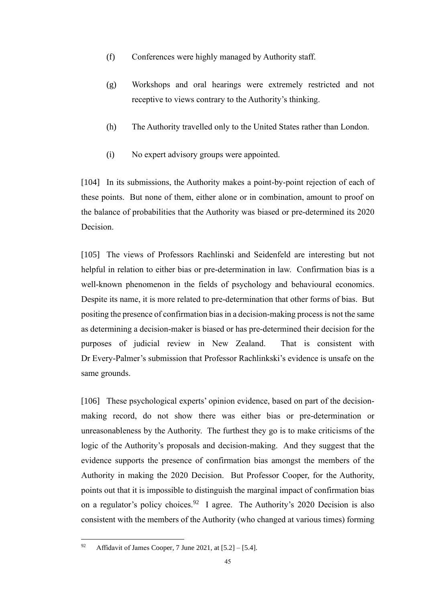- (f) Conferences were highly managed by Authority staff.
- (g) Workshops and oral hearings were extremely restricted and not receptive to views contrary to the Authority's thinking.
- (h) The Authority travelled only to the United States rather than London.
- (i) No expert advisory groups were appointed.

[104] In its submissions, the Authority makes a point-by-point rejection of each of these points. But none of them, either alone or in combination, amount to proof on the balance of probabilities that the Authority was biased or pre-determined its 2020 Decision.

[105] The views of Professors Rachlinski and Seidenfeld are interesting but not helpful in relation to either bias or pre-determination in law. Confirmation bias is a well-known phenomenon in the fields of psychology and behavioural economics. Despite its name, it is more related to pre-determination that other forms of bias. But positing the presence of confirmation bias in a decision-making process is not the same as determining a decision-maker is biased or has pre-determined their decision for the purposes of judicial review in New Zealand. That is consistent with Dr Every-Palmer's submission that Professor Rachlinkski's evidence is unsafe on the same grounds.

[106] These psychological experts' opinion evidence, based on part of the decisionmaking record, do not show there was either bias or pre-determination or unreasonableness by the Authority. The furthest they go is to make criticisms of the logic of the Authority's proposals and decision-making. And they suggest that the evidence supports the presence of confirmation bias amongst the members of the Authority in making the 2020 Decision. But Professor Cooper, for the Authority, points out that it is impossible to distinguish the marginal impact of confirmation bias on a regulator's policy choices.<sup>92</sup> I agree. The Authority's 2020 Decision is also consistent with the members of the Authority (who changed at various times) forming

<sup>&</sup>lt;sup>92</sup> Affidavit of James Cooper, 7 June 2021, at  $[5.2] - [5.4]$ .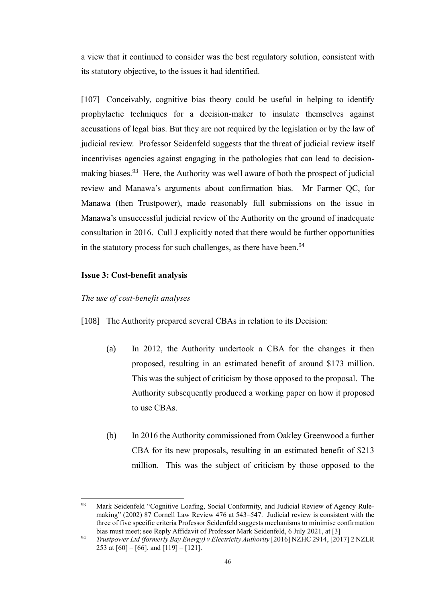a view that it continued to consider was the best regulatory solution, consistent with its statutory objective, to the issues it had identified.

[107] Conceivably, cognitive bias theory could be useful in helping to identify prophylactic techniques for a decision-maker to insulate themselves against accusations of legal bias. But they are not required by the legislation or by the law of judicial review. Professor Seidenfeld suggests that the threat of judicial review itself incentivises agencies against engaging in the pathologies that can lead to decisionmaking biases.<sup>93</sup> Here, the Authority was well aware of both the prospect of judicial review and Manawa's arguments about confirmation bias. Mr Farmer QC, for Manawa (then Trustpower), made reasonably full submissions on the issue in Manawa's unsuccessful judicial review of the Authority on the ground of inadequate consultation in 2016. Cull J explicitly noted that there would be further opportunities in the statutory process for such challenges, as there have been.<sup>94</sup>

## <span id="page-48-0"></span>**Issue 3: Cost-benefit analysis**

#### <span id="page-48-1"></span>*The use of cost-benefit analyses*

[108] The Authority prepared several CBAs in relation to its Decision:

- (a) In 2012, the Authority undertook a CBA for the changes it then proposed, resulting in an estimated benefit of around \$173 million. This was the subject of criticism by those opposed to the proposal. The Authority subsequently produced a working paper on how it proposed to use CBAs.
- (b) In 2016 the Authority commissioned from Oakley Greenwood a further CBA for its new proposals, resulting in an estimated benefit of \$213 million. This was the subject of criticism by those opposed to the

<sup>&</sup>lt;sup>93</sup> Mark Seidenfeld "Cognitive Loafing, Social Conformity, and Judicial Review of Agency Rulemaking" (2002) 87 Cornell Law Review 476 at 543–547. Judicial review is consistent with the three of five specific criteria Professor Seidenfeld suggests mechanisms to minimise confirmation bias must meet; see Reply Affidavit of Professor Mark Seidenfeld, 6 July 2021, at [3]

<sup>94</sup> *Trustpower Ltd (formerly Bay Energy) v Electricity Authority* [2016] NZHC 2914, [2017] 2 NZLR 253 at  $[60] - [66]$ , and  $[119] - [121]$ .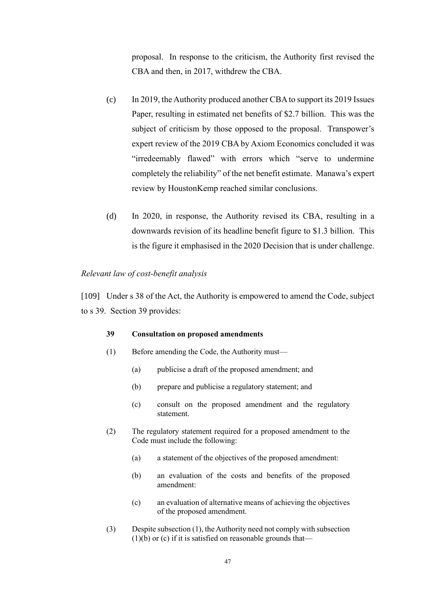proposal. In response to the criticism, the Authority first revised the CBA and then, in 2017, withdrew the CBA.

- (c) In 2019, the Authority produced another CBA to support its 2019 Issues Paper, resulting in estimated net benefits of \$2.7 billion. This was the subject of criticism by those opposed to the proposal. Transpower's expert review of the 2019 CBA by Axiom Economics concluded it was "irredeemably flawed" with errors which "serve to undermine completely the reliability" of the net benefit estimate. Manawa's expert review by HoustonKemp reached similar conclusions.
- (d) In 2020, in response, the Authority revised its CBA, resulting in a downwards revision of its headline benefit figure to \$1.3 billion. This is the figure it emphasised in the 2020 Decision that is under challenge.

#### <span id="page-49-0"></span>*Relevant law of cost-benefit analysis*

[109] Under s 38 of the Act, the Authority is empowered to amend the Code, subject to s 39. Section 39 provides:

#### **39 Consultation on proposed amendments**

- (1) Before amending the Code, the Authority must—
	- (a) publicise a draft of the proposed amendment; and
	- (b) prepare and publicise a regulatory statement; and
	- (c) consult on the proposed amendment and the regulatory statement.
- (2) The regulatory statement required for a proposed amendment to the Code must include the following:
	- (a) a statement of the objectives of the proposed amendment:
	- (b) an evaluation of the costs and benefits of the proposed amendment:
	- (c) an evaluation of alternative means of achieving the objectives of the proposed amendment.
- (3) Despite subsection (1), the Authority need not comply with subsection  $(1)(b)$  or  $(c)$  if it is satisfied on reasonable grounds that—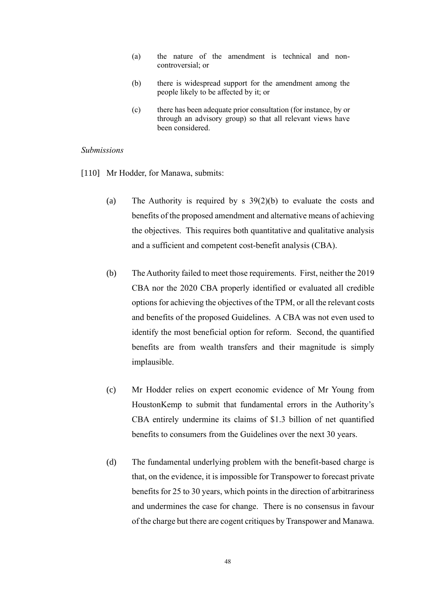- (a) the nature of the amendment is technical and noncontroversial; or
- (b) there is widespread support for the amendment among the people likely to be affected by it; or
- (c) there has been adequate prior consultation (for instance, by or through an advisory group) so that all relevant views have been considered.

#### <span id="page-50-0"></span>*Submissions*

- [110] Mr Hodder, for Manawa, submits:
	- (a) The Authority is required by s 39(2)(b) to evaluate the costs and benefits of the proposed amendment and alternative means of achieving the objectives. This requires both quantitative and qualitative analysis and a sufficient and competent cost-benefit analysis (CBA).
	- (b) The Authority failed to meet those requirements. First, neither the 2019 CBA nor the 2020 CBA properly identified or evaluated all credible options for achieving the objectives of the TPM, or all the relevant costs and benefits of the proposed Guidelines. A CBA was not even used to identify the most beneficial option for reform. Second, the quantified benefits are from wealth transfers and their magnitude is simply implausible.
	- (c) Mr Hodder relies on expert economic evidence of Mr Young from HoustonKemp to submit that fundamental errors in the Authority's CBA entirely undermine its claims of \$1.3 billion of net quantified benefits to consumers from the Guidelines over the next 30 years.
	- (d) The fundamental underlying problem with the benefit-based charge is that, on the evidence, it is impossible for Transpower to forecast private benefits for 25 to 30 years, which points in the direction of arbitrariness and undermines the case for change. There is no consensus in favour of the charge but there are cogent critiques by Transpower and Manawa.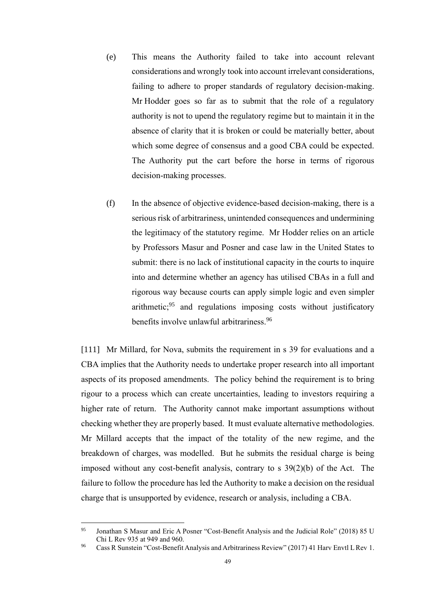- (e) This means the Authority failed to take into account relevant considerations and wrongly took into account irrelevant considerations, failing to adhere to proper standards of regulatory decision-making. Mr Hodder goes so far as to submit that the role of a regulatory authority is not to upend the regulatory regime but to maintain it in the absence of clarity that it is broken or could be materially better, about which some degree of consensus and a good CBA could be expected. The Authority put the cart before the horse in terms of rigorous decision-making processes.
- (f) In the absence of objective evidence-based decision-making, there is a serious risk of arbitrariness, unintended consequences and undermining the legitimacy of the statutory regime. Mr Hodder relies on an article by Professors Masur and Posner and case law in the United States to submit: there is no lack of institutional capacity in the courts to inquire into and determine whether an agency has utilised CBAs in a full and rigorous way because courts can apply simple logic and even simpler arithmetic;  $95$  and regulations imposing costs without justificatory benefits involve unlawful arbitrariness.<sup>96</sup>

[111] Mr Millard, for Nova, submits the requirement in s 39 for evaluations and a CBA implies that the Authority needs to undertake proper research into all important aspects of its proposed amendments. The policy behind the requirement is to bring rigour to a process which can create uncertainties, leading to investors requiring a higher rate of return. The Authority cannot make important assumptions without checking whether they are properly based. It must evaluate alternative methodologies. Mr Millard accepts that the impact of the totality of the new regime, and the breakdown of charges, was modelled. But he submits the residual charge is being imposed without any cost-benefit analysis, contrary to s 39(2)(b) of the Act. The failure to follow the procedure has led the Authority to make a decision on the residual charge that is unsupported by evidence, research or analysis, including a CBA.

<sup>95</sup> Jonathan S Masur and Eric A Posner "Cost-Benefit Analysis and the Judicial Role" (2018) 85 U Chi L Rev 935 at 949 and 960.

<sup>96</sup> Cass R Sunstein "Cost-Benefit Analysis and Arbitrariness Review" (2017) 41 Harv Envtl L Rev 1.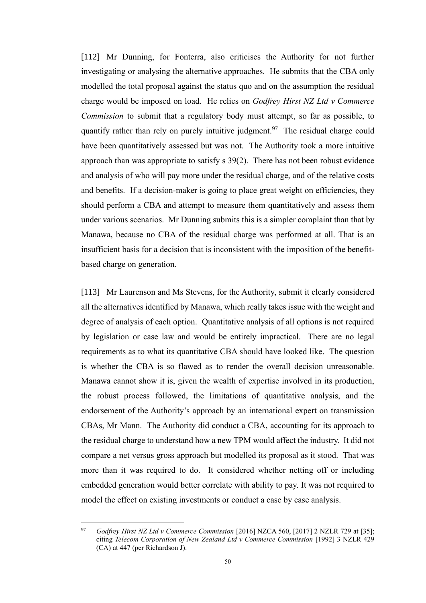<span id="page-52-0"></span>[112] Mr Dunning, for Fonterra, also criticises the Authority for not further investigating or analysing the alternative approaches. He submits that the CBA only modelled the total proposal against the status quo and on the assumption the residual charge would be imposed on load. He relies on *Godfrey Hirst NZ Ltd v Commerce Commission* to submit that a regulatory body must attempt, so far as possible, to quantify rather than rely on purely intuitive judgment.<sup>97</sup> The residual charge could have been quantitatively assessed but was not. The Authority took a more intuitive approach than was appropriate to satisfy s 39(2). There has not been robust evidence and analysis of who will pay more under the residual charge, and of the relative costs and benefits. If a decision-maker is going to place great weight on efficiencies, they should perform a CBA and attempt to measure them quantitatively and assess them under various scenarios. Mr Dunning submits this is a simpler complaint than that by Manawa, because no CBA of the residual charge was performed at all. That is an insufficient basis for a decision that is inconsistent with the imposition of the benefitbased charge on generation.

[113] Mr Laurenson and Ms Stevens, for the Authority, submit it clearly considered all the alternatives identified by Manawa, which really takes issue with the weight and degree of analysis of each option. Quantitative analysis of all options is not required by legislation or case law and would be entirely impractical. There are no legal requirements as to what its quantitative CBA should have looked like. The question is whether the CBA is so flawed as to render the overall decision unreasonable. Manawa cannot show it is, given the wealth of expertise involved in its production, the robust process followed, the limitations of quantitative analysis, and the endorsement of the Authority's approach by an international expert on transmission CBAs, Mr Mann. The Authority did conduct a CBA, accounting for its approach to the residual charge to understand how a new TPM would affect the industry. It did not compare a net versus gross approach but modelled its proposal as it stood. That was more than it was required to do. It considered whether netting off or including embedded generation would better correlate with ability to pay. It was not required to model the effect on existing investments or conduct a case by case analysis.

<sup>97</sup> *Godfrey Hirst NZ Ltd v Commerce Commission* [2016] NZCA 560, [2017] 2 NZLR 729 at [35]; citing *Telecom Corporation of New Zealand Ltd v Commerce Commission* [1992] 3 NZLR 429 (CA) at 447 (per Richardson J).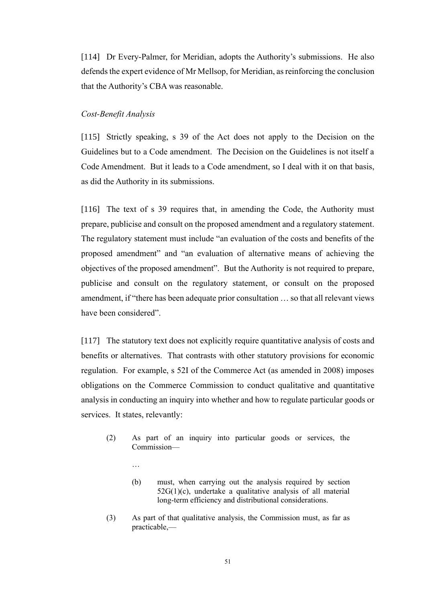[114] Dr Every-Palmer, for Meridian, adopts the Authority's submissions. He also defends the expert evidence of Mr Mellsop, for Meridian, as reinforcing the conclusion that the Authority's CBA was reasonable.

#### <span id="page-53-0"></span>*Cost-Benefit Analysis*

…

[115] Strictly speaking, s 39 of the Act does not apply to the Decision on the Guidelines but to a Code amendment. The Decision on the Guidelines is not itself a Code Amendment. But it leads to a Code amendment, so I deal with it on that basis, as did the Authority in its submissions.

[116] The text of s 39 requires that, in amending the Code, the Authority must prepare, publicise and consult on the proposed amendment and a regulatory statement. The regulatory statement must include "an evaluation of the costs and benefits of the proposed amendment" and "an evaluation of alternative means of achieving the objectives of the proposed amendment". But the Authority is not required to prepare, publicise and consult on the regulatory statement, or consult on the proposed amendment, if "there has been adequate prior consultation … so that all relevant views have been considered".

[117] The statutory text does not explicitly require quantitative analysis of costs and benefits or alternatives. That contrasts with other statutory provisions for economic regulation. For example, s 52I of the Commerce Act (as amended in 2008) imposes obligations on the Commerce Commission to conduct qualitative and quantitative analysis in conducting an inquiry into whether and how to regulate particular goods or services. It states, relevantly:

- (2) As part of an inquiry into particular goods or services, the Commission—
	- (b) must, when carrying out the analysis required by section  $52G(1)(c)$ , undertake a qualitative analysis of all material long-term efficiency and distributional considerations.
- (3) As part of that qualitative analysis, the Commission must, as far as practicable,—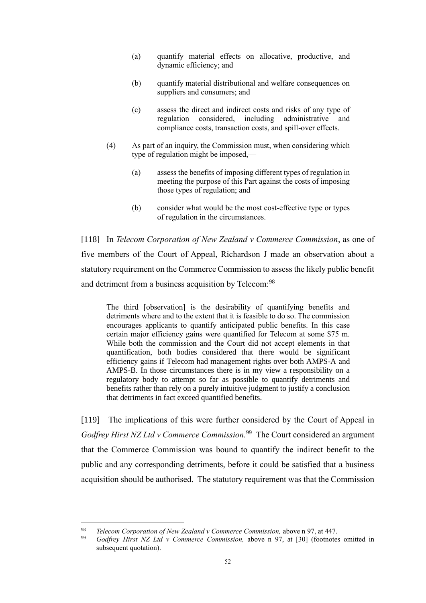- (a) quantify material effects on allocative, productive, and dynamic efficiency; and
- (b) quantify material distributional and welfare consequences on suppliers and consumers; and
- (c) assess the direct and indirect costs and risks of any type of regulation considered, including administrative and compliance costs, transaction costs, and spill-over effects.
- (4) As part of an inquiry, the Commission must, when considering which type of regulation might be imposed,—
	- (a) assess the benefits of imposing different types of regulation in meeting the purpose of this Part against the costs of imposing those types of regulation; and
	- (b) consider what would be the most cost-effective type or types of regulation in the circumstances.

[118] In *Telecom Corporation of New Zealand v Commerce Commission*, as one of five members of the Court of Appeal, Richardson J made an observation about a statutory requirement on the Commerce Commission to assess the likely public benefit and detriment from a business acquisition by Telecom:<sup>98</sup>

The third [observation] is the desirability of quantifying benefits and detriments where and to the extent that it is feasible to do so. The commission encourages applicants to quantify anticipated public benefits. In this case certain major efficiency gains were quantified for Telecom at some \$75 m. While both the commission and the Court did not accept elements in that quantification, both bodies considered that there would be significant efficiency gains if Telecom had management rights over both AMPS-A and AMPS-B. In those circumstances there is in my view a responsibility on a regulatory body to attempt so far as possible to quantify detriments and benefits rather than rely on a purely intuitive judgment to justify a conclusion that detriments in fact exceed quantified benefits.

[119] The implications of this were further considered by the Court of Appeal in *Godfrey Hirst NZ Ltd v Commerce Commission.*<sup>99</sup> The Court considered an argument that the Commerce Commission was bound to quantify the indirect benefit to the public and any corresponding detriments, before it could be satisfied that a business acquisition should be authorised. The statutory requirement was that the Commission

<sup>98</sup> *Telecom Corporation of New Zealand v Commerce Commission,* above n [97,](#page-52-0) at 447.

<sup>99</sup> *Godfrey Hirst NZ Ltd v Commerce Commission,* above n [97,](#page-52-0) at [30] (footnotes omitted in subsequent quotation).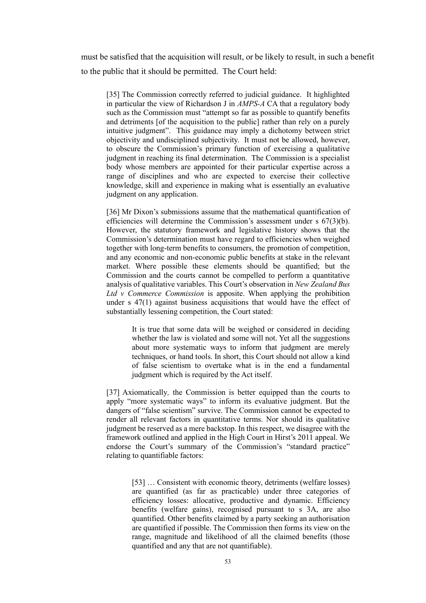must be satisfied that the acquisition will result, or be likely to result, in such a benefit to the public that it should be permitted. The Court held:

[35] The Commission correctly referred to judicial guidance. It highlighted in particular the view of Richardson J in *AMPS-A* CA that a regulatory body such as the Commission must "attempt so far as possible to quantify benefits and detriments [of the acquisition to the public] rather than rely on a purely intuitive judgment". This guidance may imply a dichotomy between strict objectivity and undisciplined subjectivity. It must not be allowed, however, to obscure the Commission's primary function of exercising a qualitative judgment in reaching its final determination. The Commission is a specialist body whose members are appointed for their particular expertise across a range of disciplines and who are expected to exercise their collective knowledge, skill and experience in making what is essentially an evaluative judgment on any application.

[36] Mr Dixon's submissions assume that the mathematical quantification of efficiencies will determine the Commission's assessment under s 67(3)(b). However, the statutory framework and legislative history shows that the Commission's determination must have regard to efficiencies when weighed together with long-term benefits to consumers, the promotion of competition, and any economic and non-economic public benefits at stake in the relevant market. Where possible these elements should be quantified; but the Commission and the courts cannot be compelled to perform a quantitative analysis of qualitative variables. This Court's observation in *New Zealand Bus Ltd v Commerce Commission* is apposite. When applying the prohibition under  $s$  47(1) against business acquisitions that would have the effect of substantially lessening competition, the Court stated:

It is true that some data will be weighed or considered in deciding whether the law is violated and some will not. Yet all the suggestions about more systematic ways to inform that judgment are merely techniques, or hand tools. In short, this Court should not allow a kind of false scientism to overtake what is in the end a fundamental judgment which is required by the Act itself.

[37] Axiomatically*,* the Commission is better equipped than the courts to apply "more systematic ways" to inform its evaluative judgment. But the dangers of "false scientism" survive. The Commission cannot be expected to render all relevant factors in quantitative terms. Nor should its qualitative judgment be reserved as a mere backstop. In this respect, we disagree with the framework outlined and applied in the High Court in Hirst's 2011 appeal. We endorse the Court's summary of the Commission's "standard practice" relating to quantifiable factors:

> [53] ... Consistent with economic theory, detriments (welfare losses) are quantified (as far as practicable) under three categories of efficiency losses: allocative, productive and dynamic. Efficiency benefits (welfare gains), recognised pursuant to s 3A, are also quantified. Other benefits claimed by a party seeking an authorisation are quantified if possible. The Commission then forms its view on the range, magnitude and likelihood of all the claimed benefits (those quantified and any that are not quantifiable).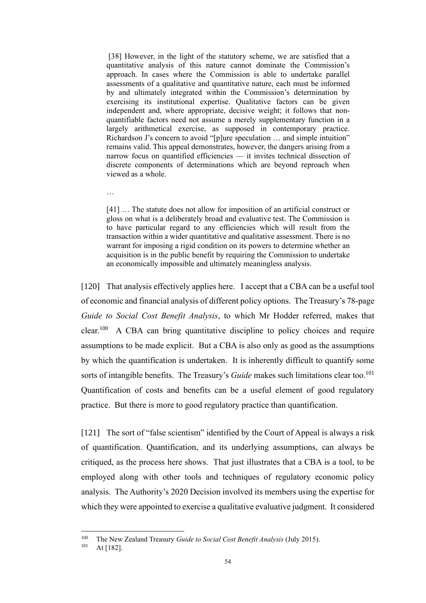[38] However, in the light of the statutory scheme, we are satisfied that a quantitative analysis of this nature cannot dominate the Commission's approach. In cases where the Commission is able to undertake parallel assessments of a qualitative and quantitative nature, each must be informed by and ultimately integrated within the Commission's determination by exercising its institutional expertise. Qualitative factors can be given independent and, where appropriate, decisive weight; it follows that nonquantifiable factors need not assume a merely supplementary function in a largely arithmetical exercise, as supposed in contemporary practice. Richardson J's concern to avoid "[p]ure speculation … and simple intuition" remains valid. This appeal demonstrates, however, the dangers arising from a narrow focus on quantified efficiencies — it invites technical dissection of discrete components of determinations which are beyond reproach when viewed as a whole.

[41] ... The statute does not allow for imposition of an artificial construct or gloss on what is a deliberately broad and evaluative test. The Commission is to have particular regard to any efficiencies which will result from the transaction within a wider quantitative and qualitative assessment. There is no warrant for imposing a rigid condition on its powers to determine whether an acquisition is in the public benefit by requiring the Commission to undertake an economically impossible and ultimately meaningless analysis.

[120] That analysis effectively applies here. I accept that a CBA can be a useful tool of economic and financial analysis of different policy options. The Treasury's 78-page *Guide to Social Cost Benefit Analysis*, to which Mr Hodder referred, makes that clear.<sup>100</sup> A CBA can bring quantitative discipline to policy choices and require assumptions to be made explicit. But a CBA is also only as good as the assumptions by which the quantification is undertaken. It is inherently difficult to quantify some sorts of intangible benefits. The Treasury's *Guide* makes such limitations clear too.<sup>101</sup> Quantification of costs and benefits can be a useful element of good regulatory practice. But there is more to good regulatory practice than quantification.

[121] The sort of "false scientism" identified by the Court of Appeal is always a risk of quantification. Quantification, and its underlying assumptions, can always be critiqued, as the process here shows. That just illustrates that a CBA is a tool, to be employed along with other tools and techniques of regulatory economic policy analysis. The Authority's 2020 Decision involved its members using the expertise for which they were appointed to exercise a qualitative evaluative judgment. It considered

…

<sup>100</sup> The New Zealand Treasury *Guide to Social Cost Benefit Analysis* (July 2015).

At [182].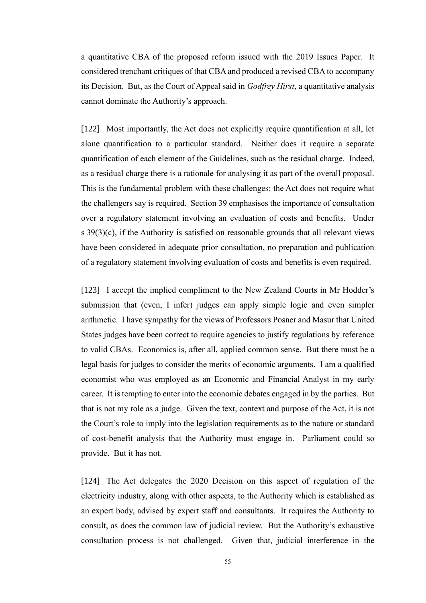a quantitative CBA of the proposed reform issued with the 2019 Issues Paper. It considered trenchant critiques of that CBA and produced a revised CBA to accompany its Decision. But, as the Court of Appeal said in *Godfrey Hirst*, a quantitative analysis cannot dominate the Authority's approach.

[122] Most importantly, the Act does not explicitly require quantification at all, let alone quantification to a particular standard. Neither does it require a separate quantification of each element of the Guidelines, such as the residual charge. Indeed, as a residual charge there is a rationale for analysing it as part of the overall proposal. This is the fundamental problem with these challenges: the Act does not require what the challengers say is required. Section 39 emphasises the importance of consultation over a regulatory statement involving an evaluation of costs and benefits. Under s 39(3)(c), if the Authority is satisfied on reasonable grounds that all relevant views have been considered in adequate prior consultation, no preparation and publication of a regulatory statement involving evaluation of costs and benefits is even required.

[123] I accept the implied compliment to the New Zealand Courts in Mr Hodder's submission that (even, I infer) judges can apply simple logic and even simpler arithmetic. I have sympathy for the views of Professors Posner and Masur that United States judges have been correct to require agencies to justify regulations by reference to valid CBAs. Economics is, after all, applied common sense. But there must be a legal basis for judges to consider the merits of economic arguments. I am a qualified economist who was employed as an Economic and Financial Analyst in my early career. It is tempting to enter into the economic debates engaged in by the parties. But that is not my role as a judge. Given the text, context and purpose of the Act, it is not the Court's role to imply into the legislation requirements as to the nature or standard of cost-benefit analysis that the Authority must engage in. Parliament could so provide. But it has not.

[124] The Act delegates the 2020 Decision on this aspect of regulation of the electricity industry, along with other aspects, to the Authority which is established as an expert body, advised by expert staff and consultants. It requires the Authority to consult, as does the common law of judicial review. But the Authority's exhaustive consultation process is not challenged. Given that, judicial interference in the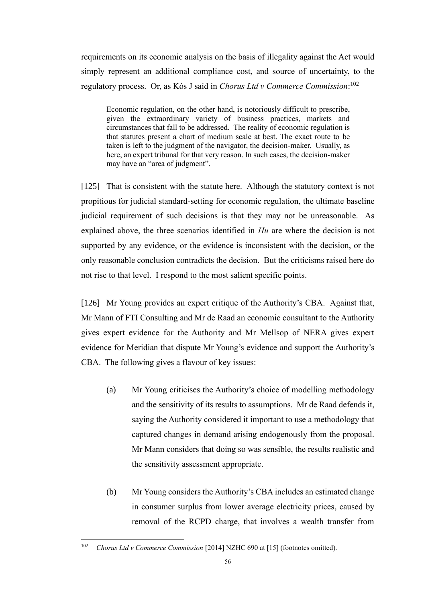requirements on its economic analysis on the basis of illegality against the Act would simply represent an additional compliance cost, and source of uncertainty, to the regulatory process. Or, as Kós J said in *Chorus Ltd v Commerce Commission*: 102

Economic regulation, on the other hand, is notoriously difficult to prescribe, given the extraordinary variety of business practices, markets and circumstances that fall to be addressed. The reality of economic regulation is that statutes present a chart of medium scale at best. The exact route to be taken is left to the judgment of the navigator, the decision-maker. Usually, as here, an expert tribunal for that very reason. In such cases, the decision-maker may have an "area of judgment".

[125] That is consistent with the statute here. Although the statutory context is not propitious for judicial standard-setting for economic regulation, the ultimate baseline judicial requirement of such decisions is that they may not be unreasonable. As explained above, the three scenarios identified in *Hu* are where the decision is not supported by any evidence, or the evidence is inconsistent with the decision, or the only reasonable conclusion contradicts the decision. But the criticisms raised here do not rise to that level. I respond to the most salient specific points.

[126] Mr Young provides an expert critique of the Authority's CBA. Against that, Mr Mann of FTI Consulting and Mr de Raad an economic consultant to the Authority gives expert evidence for the Authority and Mr Mellsop of NERA gives expert evidence for Meridian that dispute Mr Young's evidence and support the Authority's CBA. The following gives a flavour of key issues:

- (a) Mr Young criticises the Authority's choice of modelling methodology and the sensitivity of its results to assumptions. Mr de Raad defends it, saying the Authority considered it important to use a methodology that captured changes in demand arising endogenously from the proposal. Mr Mann considers that doing so was sensible, the results realistic and the sensitivity assessment appropriate.
- (b) Mr Young considers the Authority's CBA includes an estimated change in consumer surplus from lower average electricity prices, caused by removal of the RCPD charge, that involves a wealth transfer from

<sup>&</sup>lt;sup>102</sup> *Chorus Ltd v Commerce Commission* [2014] NZHC 690 at [15] (footnotes omitted).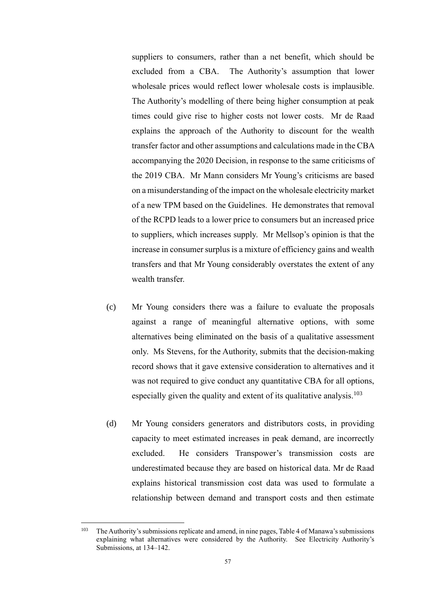suppliers to consumers, rather than a net benefit, which should be excluded from a CBA. The Authority's assumption that lower wholesale prices would reflect lower wholesale costs is implausible. The Authority's modelling of there being higher consumption at peak times could give rise to higher costs not lower costs. Mr de Raad explains the approach of the Authority to discount for the wealth transfer factor and other assumptions and calculations made in the CBA accompanying the 2020 Decision, in response to the same criticisms of the 2019 CBA. Mr Mann considers Mr Young's criticisms are based on a misunderstanding of the impact on the wholesale electricity market of a new TPM based on the Guidelines. He demonstrates that removal of the RCPD leads to a lower price to consumers but an increased price to suppliers, which increases supply. Mr Mellsop's opinion is that the increase in consumer surplus is a mixture of efficiency gains and wealth transfers and that Mr Young considerably overstates the extent of any wealth transfer.

- (c) Mr Young considers there was a failure to evaluate the proposals against a range of meaningful alternative options, with some alternatives being eliminated on the basis of a qualitative assessment only. Ms Stevens, for the Authority, submits that the decision-making record shows that it gave extensive consideration to alternatives and it was not required to give conduct any quantitative CBA for all options, especially given the quality and extent of its qualitative analysis.<sup>103</sup>
- (d) Mr Young considers generators and distributors costs, in providing capacity to meet estimated increases in peak demand, are incorrectly excluded. He considers Transpower's transmission costs are underestimated because they are based on historical data. Mr de Raad explains historical transmission cost data was used to formulate a relationship between demand and transport costs and then estimate

<sup>&</sup>lt;sup>103</sup> The Authority's submissions replicate and amend, in nine pages, Table 4 of Manawa's submissions explaining what alternatives were considered by the Authority. See Electricity Authority's Submissions, at 134–142.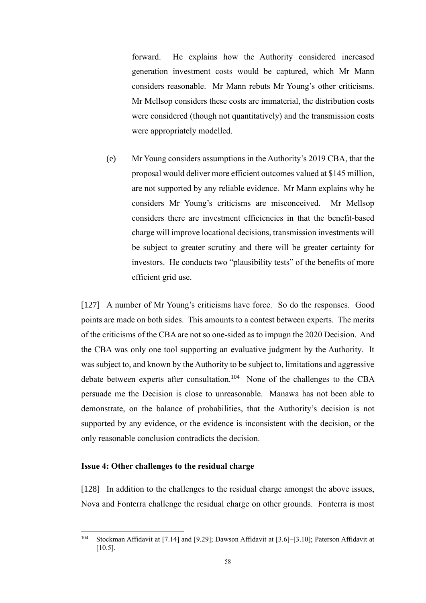forward. He explains how the Authority considered increased generation investment costs would be captured, which Mr Mann considers reasonable. Mr Mann rebuts Mr Young's other criticisms. Mr Mellsop considers these costs are immaterial, the distribution costs were considered (though not quantitatively) and the transmission costs were appropriately modelled.

(e) Mr Young considers assumptions in the Authority's 2019 CBA, that the proposal would deliver more efficient outcomes valued at \$145 million, are not supported by any reliable evidence. Mr Mann explains why he considers Mr Young's criticisms are misconceived. Mr Mellsop considers there are investment efficiencies in that the benefit-based charge will improve locational decisions, transmission investments will be subject to greater scrutiny and there will be greater certainty for investors. He conducts two "plausibility tests" of the benefits of more efficient grid use.

[127] A number of Mr Young's criticisms have force. So do the responses. Good points are made on both sides. This amounts to a contest between experts. The merits of the criticisms of the CBA are not so one-sided as to impugn the 2020 Decision. And the CBA was only one tool supporting an evaluative judgment by the Authority. It was subject to, and known by the Authority to be subject to, limitations and aggressive debate between experts after consultation.<sup>104</sup> None of the challenges to the CBA persuade me the Decision is close to unreasonable. Manawa has not been able to demonstrate, on the balance of probabilities, that the Authority's decision is not supported by any evidence, or the evidence is inconsistent with the decision, or the only reasonable conclusion contradicts the decision.

#### <span id="page-60-0"></span>**Issue 4: Other challenges to the residual charge**

[128] In addition to the challenges to the residual charge amongst the above issues, Nova and Fonterra challenge the residual charge on other grounds. Fonterra is most

<sup>104</sup> Stockman Affidavit at [7.14] and [9.29]; Dawson Affidavit at [3.6]–[3.10]; Paterson Affidavit at [10.5].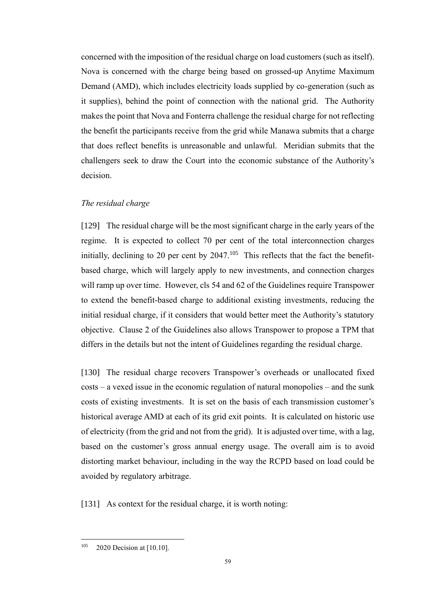concerned with the imposition of the residual charge on load customers (such as itself). Nova is concerned with the charge being based on grossed-up Anytime Maximum Demand (AMD), which includes electricity loads supplied by co-generation (such as it supplies), behind the point of connection with the national grid. The Authority makes the point that Nova and Fonterra challenge the residual charge for not reflecting the benefit the participants receive from the grid while Manawa submits that a charge that does reflect benefits is unreasonable and unlawful. Meridian submits that the challengers seek to draw the Court into the economic substance of the Authority's decision.

#### <span id="page-61-0"></span>*The residual charge*

[129] The residual charge will be the most significant charge in the early years of the regime. It is expected to collect 70 per cent of the total interconnection charges initially, declining to 20 per cent by  $2047$ .<sup>105</sup> This reflects that the fact the benefitbased charge, which will largely apply to new investments, and connection charges will ramp up over time. However, cls 54 and 62 of the Guidelines require Transpower to extend the benefit-based charge to additional existing investments, reducing the initial residual charge, if it considers that would better meet the Authority's statutory objective. Clause 2 of the Guidelines also allows Transpower to propose a TPM that differs in the details but not the intent of Guidelines regarding the residual charge.

[130] The residual charge recovers Transpower's overheads or unallocated fixed costs – a vexed issue in the economic regulation of natural monopolies – and the sunk costs of existing investments. It is set on the basis of each transmission customer's historical average AMD at each of its grid exit points. It is calculated on historic use of electricity (from the grid and not from the grid). It is adjusted over time, with a lag, based on the customer's gross annual energy usage. The overall aim is to avoid distorting market behaviour, including in the way the RCPD based on load could be avoided by regulatory arbitrage.

[131] As context for the residual charge, it is worth noting:

<sup>&</sup>lt;sup>105</sup> 2020 Decision at [10.10].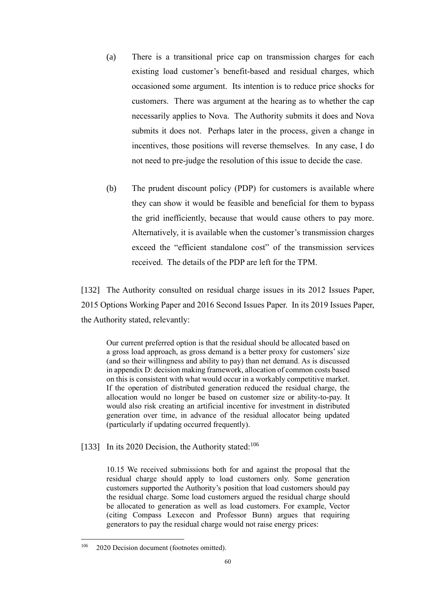- (a) There is a transitional price cap on transmission charges for each existing load customer's benefit-based and residual charges, which occasioned some argument. Its intention is to reduce price shocks for customers. There was argument at the hearing as to whether the cap necessarily applies to Nova. The Authority submits it does and Nova submits it does not. Perhaps later in the process, given a change in incentives, those positions will reverse themselves. In any case, I do not need to pre-judge the resolution of this issue to decide the case.
- (b) The prudent discount policy (PDP) for customers is available where they can show it would be feasible and beneficial for them to bypass the grid inefficiently, because that would cause others to pay more. Alternatively, it is available when the customer's transmission charges exceed the "efficient standalone cost" of the transmission services received. The details of the PDP are left for the TPM.

[132] The Authority consulted on residual charge issues in its 2012 Issues Paper, 2015 Options Working Paper and 2016 Second Issues Paper. In its 2019 Issues Paper, the Authority stated, relevantly:

Our current preferred option is that the residual should be allocated based on a gross load approach, as gross demand is a better proxy for customers' size (and so their willingness and ability to pay) than net demand. As is discussed in appendix D: decision making framework, allocation of common costs based on this is consistent with what would occur in a workably competitive market. If the operation of distributed generation reduced the residual charge, the allocation would no longer be based on customer size or ability-to-pay. It would also risk creating an artificial incentive for investment in distributed generation over time, in advance of the residual allocator being updated (particularly if updating occurred frequently).

[133] In its 2020 Decision, the Authority stated: $106$ 

10.15 We received submissions both for and against the proposal that the residual charge should apply to load customers only. Some generation customers supported the Authority's position that load customers should pay the residual charge. Some load customers argued the residual charge should be allocated to generation as well as load customers. For example, Vector (citing Compass Lexecon and Professor Bunn) argues that requiring generators to pay the residual charge would not raise energy prices:

<sup>&</sup>lt;sup>106</sup> 2020 Decision document (footnotes omitted).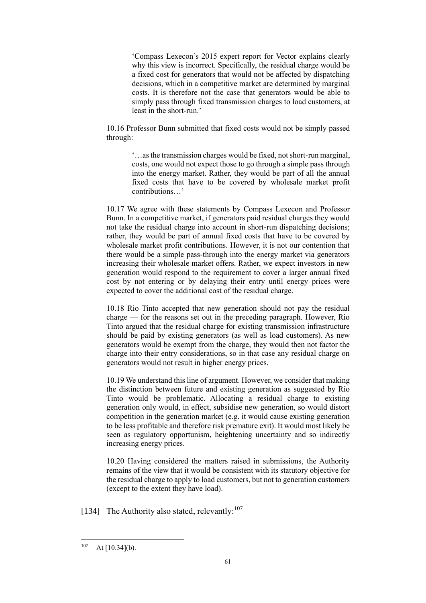'Compass Lexecon's 2015 expert report for Vector explains clearly why this view is incorrect. Specifically, the residual charge would be a fixed cost for generators that would not be affected by dispatching decisions, which in a competitive market are determined by marginal costs. It is therefore not the case that generators would be able to simply pass through fixed transmission charges to load customers, at least in the short-run.'

10.16 Professor Bunn submitted that fixed costs would not be simply passed through:

> '…as the transmission charges would be fixed, not short-run marginal, costs, one would not expect those to go through a simple pass through into the energy market. Rather, they would be part of all the annual fixed costs that have to be covered by wholesale market profit contributions…'

10.17 We agree with these statements by Compass Lexecon and Professor Bunn. In a competitive market, if generators paid residual charges they would not take the residual charge into account in short-run dispatching decisions; rather, they would be part of annual fixed costs that have to be covered by wholesale market profit contributions. However, it is not our contention that there would be a simple pass-through into the energy market via generators increasing their wholesale market offers. Rather, we expect investors in new generation would respond to the requirement to cover a larger annual fixed cost by not entering or by delaying their entry until energy prices were expected to cover the additional cost of the residual charge.

10.18 Rio Tinto accepted that new generation should not pay the residual charge — for the reasons set out in the preceding paragraph. However, Rio Tinto argued that the residual charge for existing transmission infrastructure should be paid by existing generators (as well as load customers). As new generators would be exempt from the charge, they would then not factor the charge into their entry considerations, so in that case any residual charge on generators would not result in higher energy prices.

10.19 We understand this line of argument. However, we consider that making the distinction between future and existing generation as suggested by Rio Tinto would be problematic. Allocating a residual charge to existing generation only would, in effect, subsidise new generation, so would distort competition in the generation market (e.g. it would cause existing generation to be less profitable and therefore risk premature exit). It would most likely be seen as regulatory opportunism, heightening uncertainty and so indirectly increasing energy prices.

10.20 Having considered the matters raised in submissions, the Authority remains of the view that it would be consistent with its statutory objective for the residual charge to apply to load customers, but not to generation customers (except to the extent they have load).

[134] The Authority also stated, relevantly:<sup>107</sup>

 $107$  At [10.34](b).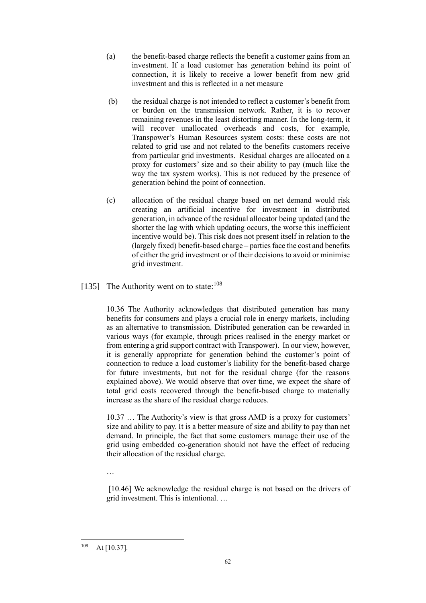- (a) the benefit-based charge reflects the benefit a customer gains from an investment. If a load customer has generation behind its point of connection, it is likely to receive a lower benefit from new grid investment and this is reflected in a net measure
- (b) the residual charge is not intended to reflect a customer's benefit from or burden on the transmission network. Rather, it is to recover remaining revenues in the least distorting manner. In the long-term, it will recover unallocated overheads and costs, for example, Transpower's Human Resources system costs: these costs are not related to grid use and not related to the benefits customers receive from particular grid investments. Residual charges are allocated on a proxy for customers' size and so their ability to pay (much like the way the tax system works). This is not reduced by the presence of generation behind the point of connection.
- (c) allocation of the residual charge based on net demand would risk creating an artificial incentive for investment in distributed generation, in advance of the residual allocator being updated (and the shorter the lag with which updating occurs, the worse this inefficient incentive would be). This risk does not present itself in relation to the (largely fixed) benefit-based charge – parties face the cost and benefits of either the grid investment or of their decisions to avoid or minimise grid investment.

## [135] The Authority went on to state:<sup>108</sup>

10.36 The Authority acknowledges that distributed generation has many benefits for consumers and plays a crucial role in energy markets, including as an alternative to transmission. Distributed generation can be rewarded in various ways (for example, through prices realised in the energy market or from entering a grid support contract with Transpower). In our view, however, it is generally appropriate for generation behind the customer's point of connection to reduce a load customer's liability for the benefit-based charge for future investments, but not for the residual charge (for the reasons explained above). We would observe that over time, we expect the share of total grid costs recovered through the benefit-based charge to materially increase as the share of the residual charge reduces.

10.37 … The Authority's view is that gross AMD is a proxy for customers' size and ability to pay. It is a better measure of size and ability to pay than net demand. In principle, the fact that some customers manage their use of the grid using embedded co-generation should not have the effect of reducing their allocation of the residual charge.

…

[10.46] We acknowledge the residual charge is not based on the drivers of grid investment. This is intentional. …

 $108$  At [10.37].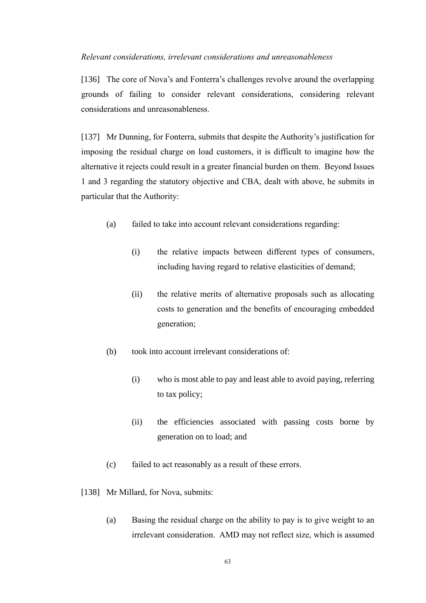#### <span id="page-65-0"></span>*Relevant considerations, irrelevant considerations and unreasonableness*

[136] The core of Nova's and Fonterra's challenges revolve around the overlapping grounds of failing to consider relevant considerations, considering relevant considerations and unreasonableness.

[137] Mr Dunning, for Fonterra, submits that despite the Authority's justification for imposing the residual charge on load customers, it is difficult to imagine how the alternative it rejects could result in a greater financial burden on them. Beyond Issues 1 and 3 regarding the statutory objective and CBA, dealt with above, he submits in particular that the Authority:

- (a) failed to take into account relevant considerations regarding:
	- (i) the relative impacts between different types of consumers, including having regard to relative elasticities of demand;
	- (ii) the relative merits of alternative proposals such as allocating costs to generation and the benefits of encouraging embedded generation;
- (b) took into account irrelevant considerations of:
	- (i) who is most able to pay and least able to avoid paying, referring to tax policy;
	- (ii) the efficiencies associated with passing costs borne by generation on to load; and
- (c) failed to act reasonably as a result of these errors.
- [138] Mr Millard, for Nova, submits:
	- (a) Basing the residual charge on the ability to pay is to give weight to an irrelevant consideration. AMD may not reflect size, which is assumed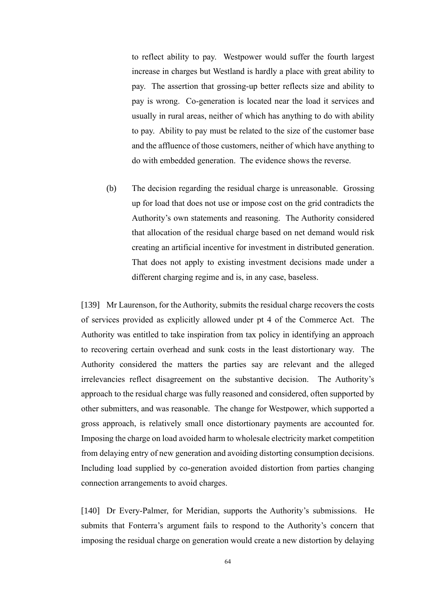to reflect ability to pay. Westpower would suffer the fourth largest increase in charges but Westland is hardly a place with great ability to pay. The assertion that grossing-up better reflects size and ability to pay is wrong. Co-generation is located near the load it services and usually in rural areas, neither of which has anything to do with ability to pay. Ability to pay must be related to the size of the customer base and the affluence of those customers, neither of which have anything to do with embedded generation. The evidence shows the reverse.

(b) The decision regarding the residual charge is unreasonable. Grossing up for load that does not use or impose cost on the grid contradicts the Authority's own statements and reasoning. The Authority considered that allocation of the residual charge based on net demand would risk creating an artificial incentive for investment in distributed generation. That does not apply to existing investment decisions made under a different charging regime and is, in any case, baseless.

[139] Mr Laurenson, for the Authority, submits the residual charge recovers the costs of services provided as explicitly allowed under pt 4 of the Commerce Act. The Authority was entitled to take inspiration from tax policy in identifying an approach to recovering certain overhead and sunk costs in the least distortionary way. The Authority considered the matters the parties say are relevant and the alleged irrelevancies reflect disagreement on the substantive decision. The Authority's approach to the residual charge was fully reasoned and considered, often supported by other submitters, and was reasonable. The change for Westpower, which supported a gross approach, is relatively small once distortionary payments are accounted for. Imposing the charge on load avoided harm to wholesale electricity market competition from delaying entry of new generation and avoiding distorting consumption decisions. Including load supplied by co-generation avoided distortion from parties changing connection arrangements to avoid charges.

[140] Dr Every-Palmer, for Meridian, supports the Authority's submissions. He submits that Fonterra's argument fails to respond to the Authority's concern that imposing the residual charge on generation would create a new distortion by delaying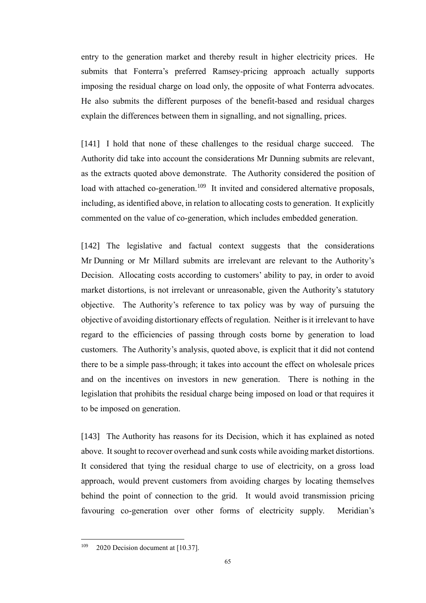entry to the generation market and thereby result in higher electricity prices. He submits that Fonterra's preferred Ramsey-pricing approach actually supports imposing the residual charge on load only, the opposite of what Fonterra advocates. He also submits the different purposes of the benefit-based and residual charges explain the differences between them in signalling, and not signalling, prices.

[141] I hold that none of these challenges to the residual charge succeed. The Authority did take into account the considerations Mr Dunning submits are relevant, as the extracts quoted above demonstrate. The Authority considered the position of load with attached co-generation.<sup>109</sup> It invited and considered alternative proposals, including, as identified above, in relation to allocating costs to generation. It explicitly commented on the value of co-generation, which includes embedded generation.

[142] The legislative and factual context suggests that the considerations Mr Dunning or Mr Millard submits are irrelevant are relevant to the Authority's Decision. Allocating costs according to customers' ability to pay, in order to avoid market distortions, is not irrelevant or unreasonable, given the Authority's statutory objective. The Authority's reference to tax policy was by way of pursuing the objective of avoiding distortionary effects of regulation. Neither is it irrelevant to have regard to the efficiencies of passing through costs borne by generation to load customers. The Authority's analysis, quoted above, is explicit that it did not contend there to be a simple pass-through; it takes into account the effect on wholesale prices and on the incentives on investors in new generation. There is nothing in the legislation that prohibits the residual charge being imposed on load or that requires it to be imposed on generation.

[143] The Authority has reasons for its Decision, which it has explained as noted above. It sought to recover overhead and sunk costs while avoiding market distortions. It considered that tying the residual charge to use of electricity, on a gross load approach, would prevent customers from avoiding charges by locating themselves behind the point of connection to the grid. It would avoid transmission pricing favouring co-generation over other forms of electricity supply. Meridian's

 $109$  2020 Decision document at [10.37].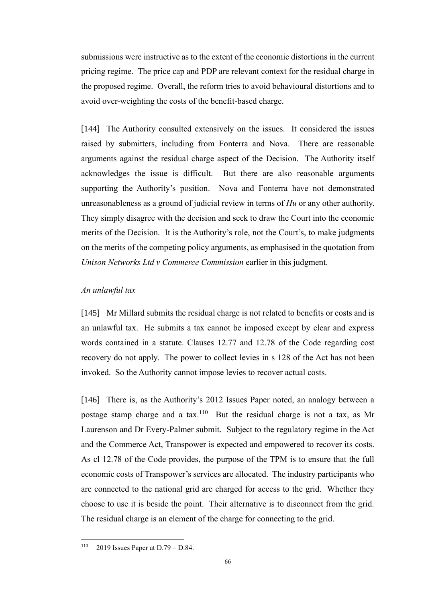submissions were instructive as to the extent of the economic distortions in the current pricing regime. The price cap and PDP are relevant context for the residual charge in the proposed regime. Overall, the reform tries to avoid behavioural distortions and to avoid over-weighting the costs of the benefit-based charge.

[144] The Authority consulted extensively on the issues. It considered the issues raised by submitters, including from Fonterra and Nova. There are reasonable arguments against the residual charge aspect of the Decision. The Authority itself acknowledges the issue is difficult. But there are also reasonable arguments supporting the Authority's position. Nova and Fonterra have not demonstrated unreasonableness as a ground of judicial review in terms of *Hu* or any other authority. They simply disagree with the decision and seek to draw the Court into the economic merits of the Decision. It is the Authority's role, not the Court's, to make judgments on the merits of the competing policy arguments, as emphasised in the quotation from *Unison Networks Ltd v Commerce Commission* earlier in this judgment.

## <span id="page-68-0"></span>*An unlawful tax*

[145] Mr Millard submits the residual charge is not related to benefits or costs and is an unlawful tax. He submits a tax cannot be imposed except by clear and express words contained in a statute. Clauses 12.77 and 12.78 of the Code regarding cost recovery do not apply. The power to collect levies in s 128 of the Act has not been invoked. So the Authority cannot impose levies to recover actual costs.

[146] There is, as the Authority's 2012 Issues Paper noted, an analogy between a postage stamp charge and a tax.<sup>110</sup> But the residual charge is not a tax, as Mr Laurenson and Dr Every-Palmer submit. Subject to the regulatory regime in the Act and the Commerce Act, Transpower is expected and empowered to recover its costs. As cl 12.78 of the Code provides, the purpose of the TPM is to ensure that the full economic costs of Transpower's services are allocated. The industry participants who are connected to the national grid are charged for access to the grid. Whether they choose to use it is beside the point. Their alternative is to disconnect from the grid. The residual charge is an element of the charge for connecting to the grid.

 $110$  2019 Issues Paper at D.79 – D.84.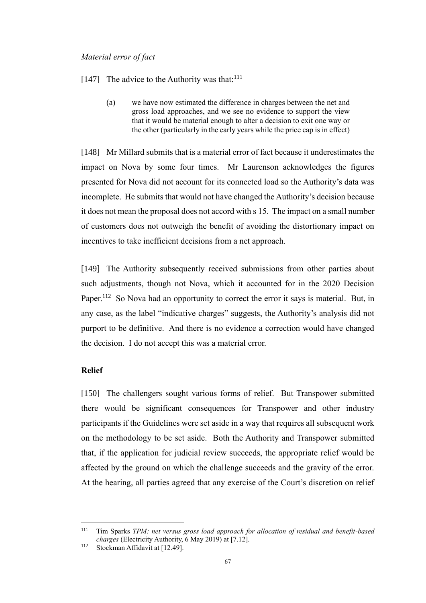#### <span id="page-69-0"></span>*Material error of fact*

- [147] The advice to the Authority was that: $111$ 
	- (a) we have now estimated the difference in charges between the net and gross load approaches, and we see no evidence to support the view that it would be material enough to alter a decision to exit one way or the other (particularly in the early years while the price cap is in effect)

[148] Mr Millard submits that is a material error of fact because it underestimates the impact on Nova by some four times. Mr Laurenson acknowledges the figures presented for Nova did not account for its connected load so the Authority's data was incomplete. He submits that would not have changed the Authority's decision because it does not mean the proposal does not accord with s 15. The impact on a small number of customers does not outweigh the benefit of avoiding the distortionary impact on incentives to take inefficient decisions from a net approach.

[149] The Authority subsequently received submissions from other parties about such adjustments, though not Nova, which it accounted for in the 2020 Decision Paper.<sup>112</sup> So Nova had an opportunity to correct the error it says is material. But, in any case, as the label "indicative charges" suggests, the Authority's analysis did not purport to be definitive. And there is no evidence a correction would have changed the decision. I do not accept this was a material error.

#### <span id="page-69-1"></span>**Relief**

[150] The challengers sought various forms of relief. But Transpower submitted there would be significant consequences for Transpower and other industry participants if the Guidelines were set aside in a way that requires all subsequent work on the methodology to be set aside. Both the Authority and Transpower submitted that, if the application for judicial review succeeds, the appropriate relief would be affected by the ground on which the challenge succeeds and the gravity of the error. At the hearing, all parties agreed that any exercise of the Court's discretion on relief

<sup>111</sup> Tim Sparks *TPM: net versus gross load approach for allocation of residual and benefit-based charges* (Electricity Authority, 6 May 2019) at [7.12].

<sup>&</sup>lt;sup>112</sup> Stockman Affidavit at [12.49].